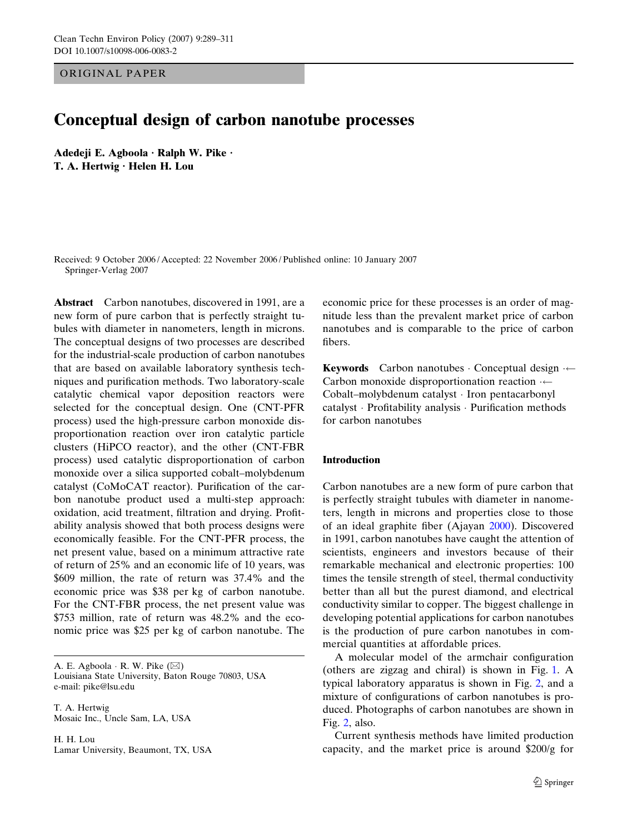ORIGINAL PAPER

# Conceptual design of carbon nanotube processes

Adedeji E. Agboola  $\cdot$  Ralph W. Pike  $\cdot$ T. A. Hertwig · Helen H. Lou

Received: 9 October 2006 / Accepted: 22 November 2006 / Published online: 10 January 2007 Springer-Verlag 2007

Abstract Carbon nanotubes, discovered in 1991, are a new form of pure carbon that is perfectly straight tubules with diameter in nanometers, length in microns. The conceptual designs of two processes are described for the industrial-scale production of carbon nanotubes that are based on available laboratory synthesis techniques and purification methods. Two laboratory-scale catalytic chemical vapor deposition reactors were selected for the conceptual design. One (CNT-PFR process) used the high-pressure carbon monoxide disproportionation reaction over iron catalytic particle clusters (HiPCO reactor), and the other (CNT-FBR process) used catalytic disproportionation of carbon monoxide over a silica supported cobalt–molybdenum catalyst (CoMoCAT reactor). Purification of the carbon nanotube product used a multi-step approach: oxidation, acid treatment, filtration and drying. Profitability analysis showed that both process designs were economically feasible. For the CNT-PFR process, the net present value, based on a minimum attractive rate of return of 25% and an economic life of 10 years, was \$609 million, the rate of return was 37.4% and the economic price was \$38 per kg of carbon nanotube. For the CNT-FBR process, the net present value was \$753 million, rate of return was 48.2% and the economic price was \$25 per kg of carbon nanotube. The

A. E. Agboola  $\cdot$  R. W. Pike  $(\boxtimes)$ Louisiana State University, Baton Rouge 70803, USA e-mail: pike@lsu.edu

T. A. Hertwig Mosaic Inc., Uncle Sam, LA, USA

H. H. Lou Lamar University, Beaumont, TX, USA

economic price for these processes is an order of magnitude less than the prevalent market price of carbon nanotubes and is comparable to the price of carbon fibers.

**Keywords** Carbon nanotubes  $\cdot$  Conceptual design  $\cdot$ Carbon monoxide disproportionation reaction  $\leftarrow$ Cobalt–molybdenum catalyst · Iron pentacarbonyl catalyst · Profitability analysis · Purification methods for carbon nanotubes

# Introduction

Carbon nanotubes are a new form of pure carbon that is perfectly straight tubules with diameter in nanometers, length in microns and properties close to those of an ideal graphite fiber (Ajayan [2000](#page-21-0)). Discovered in 1991, carbon nanotubes have caught the attention of scientists, engineers and investors because of their remarkable mechanical and electronic properties: 100 times the tensile strength of steel, thermal conductivity better than all but the purest diamond, and electrical conductivity similar to copper. The biggest challenge in developing potential applications for carbon nanotubes is the production of pure carbon nanotubes in commercial quantities at affordable prices.

A molecular model of the armchair configuration (others are zigzag and chiral) is shown in Fig. [1](#page-1-0).A typical laboratory apparatus is shown in Fig. [2](#page-1-0), and a mixture of configurations of carbon nanotubes is produced. Photographs of carbon nanotubes are shown in Fig. [2,](#page-1-0) also.

Current synthesis methods have limited production capacity, and the market price is around \$200/g for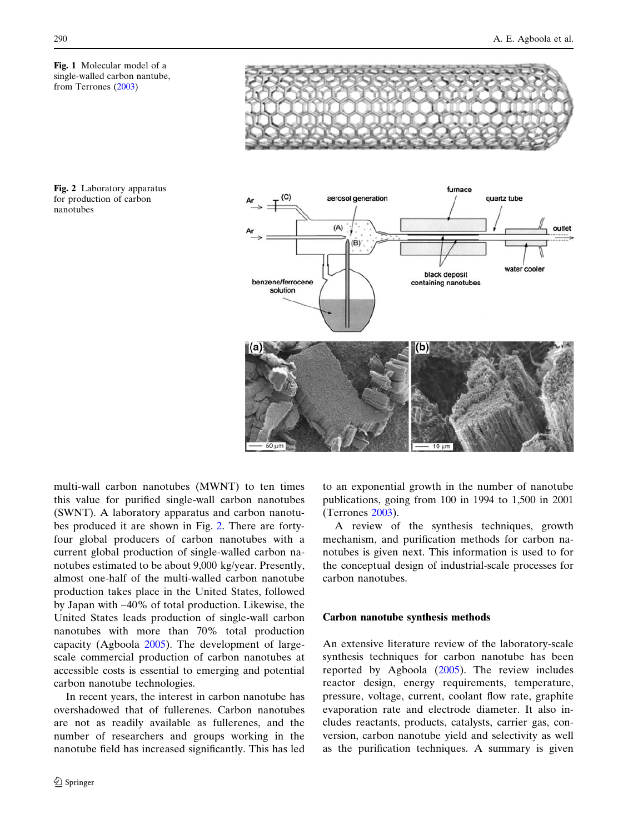<span id="page-1-0"></span>Fig. 1 Molecular model of a single-walled carbon nantube, from Terrones [\(2003\)](#page-22-0)







multi-wall carbon nanotubes (MWNT) to ten times this value for purified single-wall carbon nanotubes (SWNT). A laboratory apparatus and carbon nanotubes produced it are shown in Fig. 2. There are fortyfour global producers of carbon nanotubes with a current global production of single-walled carbon nanotubes estimated to be about 9,000 kg/year. Presently, almost one-half of the multi-walled carbon nanotube production takes place in the United States, followed by Japan with ~40% of total production. Likewise, the United States leads production of single-wall carbon nanotubes with more than 70% total production capacity (Agboola [2005](#page-21-0)). The development of largescale commercial production of carbon nanotubes at accessible costs is essential to emerging and potential carbon nanotube technologies.

In recent years, the interest in carbon nanotube has overshadowed that of fullerenes. Carbon nanotubes are not as readily available as fullerenes, and the number of researchers and groups working in the nanotube field has increased significantly. This has led to an exponential growth in the number of nanotube publications, going from 100 in 1994 to 1,500 in 2001 (Terrones [2003](#page-22-0)).

A review of the synthesis techniques, growth mechanism, and purification methods for carbon nanotubes is given next. This information is used to for the conceptual design of industrial-scale processes for carbon nanotubes.

# Carbon nanotube synthesis methods

An extensive literature review of the laboratory-scale synthesis techniques for carbon nanotube has been reported by Agboola [\(2005](#page-21-0)). The review includes reactor design, energy requirements, temperature, pressure, voltage, current, coolant flow rate, graphite evaporation rate and electrode diameter. It also includes reactants, products, catalysts, carrier gas, conversion, carbon nanotube yield and selectivity as well as the purification techniques. A summary is given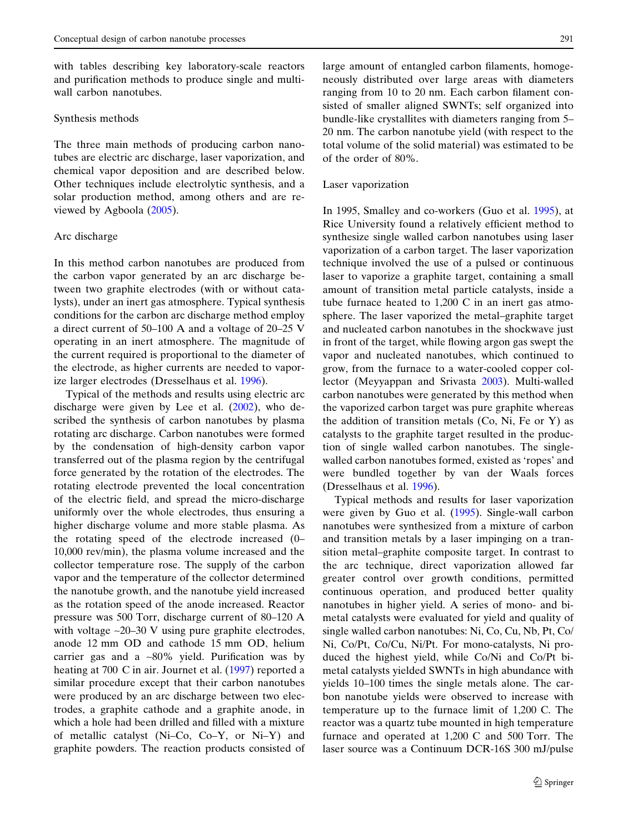with tables describing key laboratory-scale reactors and purification methods to produce single and multiwall carbon nanotubes.

#### Synthesis methods

The three main methods of producing carbon nanotubes are electric arc discharge, laser vaporization, and chemical vapor deposition and are described below. Other techniques include electrolytic synthesis, and a solar production method, among others and are reviewed by Agboola [\(2005](#page-21-0)).

### Arc discharge

In this method carbon nanotubes are produced from the carbon vapor generated by an arc discharge between two graphite electrodes (with or without catalysts), under an inert gas atmosphere. Typical synthesis conditions for the carbon arc discharge method employ a direct current of 50–100 A and a voltage of 20–25 V operating in an inert atmosphere. The magnitude of the current required is proportional to the diameter of the electrode, as higher currents are needed to vaporize larger electrodes (Dresselhaus et al. [1996\)](#page-21-0).

heating at 700 C in air. Journet et al. [\(1997](#page-22-0)) reported a Typical of the methods and results using electric arc discharge were given by Lee et al. ([2002\)](#page-22-0), who described the synthesis of carbon nanotubes by plasma rotating arc discharge. Carbon nanotubes were formed by the condensation of high-density carbon vapor transferred out of the plasma region by the centrifugal force generated by the rotation of the electrodes. The rotating electrode prevented the local concentration of the electric field, and spread the micro-discharge uniformly over the whole electrodes, thus ensuring a higher discharge volume and more stable plasma. As the rotating speed of the electrode increased (0– 10,000 rev/min), the plasma volume increased and the collector temperature rose. The supply of the carbon vapor and the temperature of the collector determined the nanotube growth, and the nanotube yield increased as the rotation speed of the anode increased. Reactor pressure was 500 Torr, discharge current of 80–120 A with voltage  $\sim$ 20–30 V using pure graphite electrodes, anode 12 mm OD and cathode 15 mm OD, helium carrier gas and a  $~80\%$  yield. Purification was by similar procedure except that their carbon nanotubes were produced by an arc discharge between two electrodes, a graphite cathode and a graphite anode, in which a hole had been drilled and filled with a mixture of metallic catalyst (Ni–Co, Co–Y, or Ni–Y) and graphite powders. The reaction products consisted of

large amount of entangled carbon filaments, homogeneously distributed over large areas with diameters ranging from 10 to 20 nm. Each carbon filament consisted of smaller aligned SWNTs; self organized into bundle-like crystallites with diameters ranging from 5– 20 nm. The carbon nanotube yield (with respect to the total volume of the solid material) was estimated to be of the order of 80%.

#### Laser vaporization

tube furnace heated to  $1,200$  C in an inert gas atmo-In 1995, Smalley and co-workers (Guo et al. [1995](#page-21-0)), at Rice University found a relatively efficient method to synthesize single walled carbon nanotubes using laser vaporization of a carbon target. The laser vaporization technique involved the use of a pulsed or continuous laser to vaporize a graphite target, containing a small amount of transition metal particle catalysts, inside a sphere. The laser vaporized the metal–graphite target and nucleated carbon nanotubes in the shockwave just in front of the target, while flowing argon gas swept the vapor and nucleated nanotubes, which continued to grow, from the furnace to a water-cooled copper collector (Meyyappan and Srivasta [2003](#page-22-0)). Multi-walled carbon nanotubes were generated by this method when the vaporized carbon target was pure graphite whereas the addition of transition metals (Co, Ni, Fe or Y) as catalysts to the graphite target resulted in the production of single walled carbon nanotubes. The singlewalled carbon nanotubes formed, existed as 'ropes' and were bundled together by van der Waals forces (Dresselhaus et al. [1996](#page-21-0)).

 temperature up to the furnace limit of 1,200 C. The furnace and operated at 1,200 C and 500 Torr. The Typical methods and results for laser vaporization were given by Guo et al. ([1995\)](#page-21-0). Single-wall carbon nanotubes were synthesized from a mixture of carbon and transition metals by a laser impinging on a transition metal–graphite composite target. In contrast to the arc technique, direct vaporization allowed far greater control over growth conditions, permitted continuous operation, and produced better quality nanotubes in higher yield. A series of mono- and bimetal catalysts were evaluated for yield and quality of single walled carbon nanotubes: Ni, Co, Cu, Nb, Pt, Co/ Ni, Co/Pt, Co/Cu, Ni/Pt. For mono-catalysts, Ni produced the highest yield, while Co/Ni and Co/Pt bimetal catalysts yielded SWNTs in high abundance with yields 10–100 times the single metals alone. The carbon nanotube yields were observed to increase with reactor was a quartz tube mounted in high temperature laser source was a Continuum DCR-16S 300 mJ/pulse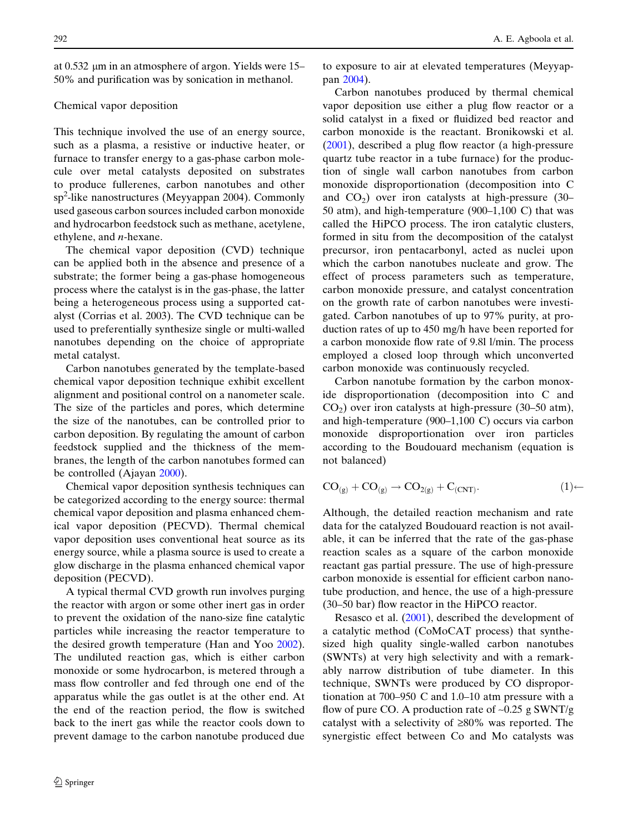at 0.532 lm in an atmosphere of argon. Yields were 15– 50% and purification was by sonication in methanol.

# Chemical vapor deposition

This technique involved the use of an energy source, such as a plasma, a resistive or inductive heater, or furnace to transfer energy to a gas-phase carbon molecule over metal catalysts deposited on substrates to produce fullerenes, carbon nanotubes and other sp<sup>2</sup> -like nanostructures (Meyyappan 2004). Commonly used gaseous carbon sources included carbon monoxide and hydrocarbon feedstock such as methane, acetylene, ethylene, and n-hexane.

The chemical vapor deposition (CVD) technique can be applied both in the absence and presence of a substrate; the former being a gas-phase homogeneous process where the catalyst is in the gas-phase, the latter being a heterogeneous process using a supported catalyst (Corrias et al. 2003). The CVD technique can be used to preferentially synthesize single or multi-walled nanotubes depending on the choice of appropriate metal catalyst.

Carbon nanotubes generated by the template-based chemical vapor deposition technique exhibit excellent alignment and positional control on a nanometer scale. The size of the particles and pores, which determine the size of the nanotubes, can be controlled prior to carbon deposition. By regulating the amount of carbon feedstock supplied and the thickness of the membranes, the length of the carbon nanotubes formed can be controlled (Ajayan [2000](#page-21-0)).

Chemical vapor deposition synthesis techniques can be categorized according to the energy source: thermal chemical vapor deposition and plasma enhanced chemical vapor deposition (PECVD). Thermal chemical vapor deposition uses conventional heat source as its energy source, while a plasma source is used to create a glow discharge in the plasma enhanced chemical vapor deposition (PECVD).

A typical thermal CVD growth run involves purging the reactor with argon or some other inert gas in order to prevent the oxidation of the nano-size fine catalytic particles while increasing the reactor temperature to the desired growth temperature (Han and Yoo [2002\)](#page-21-0). The undiluted reaction gas, which is either carbon monoxide or some hydrocarbon, is metered through a mass flow controller and fed through one end of the apparatus while the gas outlet is at the other end. At the end of the reaction period, the flow is switched back to the inert gas while the reactor cools down to prevent damage to the carbon nanotube produced due

to exposure to air at elevated temperatures (Meyyappan [2004](#page-22-0)).

 50 atm), and high-temperature (900–1,100 C) that was Carbon nanotubes produced by thermal chemical vapor deposition use either a plug flow reactor or a solid catalyst in a fixed or fluidized bed reactor and carbon monoxide is the reactant. Bronikowski et al. ([2001\)](#page-21-0), described a plug flow reactor (a high-pressure quartz tube reactor in a tube furnace) for the production of single wall carbon nanotubes from carbon monoxide disproportionation (decomposition into C and  $CO<sub>2</sub>$ ) over iron catalysts at high-pressure (30– called the HiPCO process. The iron catalytic clusters, formed in situ from the decomposition of the catalyst precursor, iron pentacarbonyl, acted as nuclei upon which the carbon nanotubes nucleate and grow. The effect of process parameters such as temperature, carbon monoxide pressure, and catalyst concentration on the growth rate of carbon nanotubes were investigated. Carbon nanotubes of up to 97% purity, at production rates of up to 450 mg/h have been reported for a carbon monoxide flow rate of 9.8l l/min. The process employed a closed loop through which unconverted carbon monoxide was continuously recycled.

 and high-temperature (900–1,100 C) occurs via carbon Carbon nanotube formation by the carbon monoxide disproportionation (decomposition into C and  $CO<sub>2</sub>$ ) over iron catalysts at high-pressure (30–50 atm), monoxide disproportionation over iron particles according to the Boudouard mechanism (equation is not balanced)

$$
CO_{(g)} + CO_{(g)} \rightarrow CO_{2(g)} + C_{(CNT)}.
$$
 (1)

Although, the detailed reaction mechanism and rate data for the catalyzed Boudouard reaction is not available, it can be inferred that the rate of the gas-phase reaction scales as a square of the carbon monoxide reactant gas partial pressure. The use of high-pressure carbon monoxide is essential for efficient carbon nanotube production, and hence, the use of a high-pressure (30–50 bar) flow reactor in the HiPCO reactor.

 tionation at 700–950 C and 1.0–10 atm pressure with a Resasco et al. ([2001\)](#page-22-0), described the development of a catalytic method (CoMoCAT process) that synthesized high quality single-walled carbon nanotubes (SWNTs) at very high selectivity and with a remarkably narrow distribution of tube diameter. In this technique, SWNTs were produced by CO disproporflow of pure CO. A production rate of  $\sim 0.25$  g SWNT/g catalyst with a selectivity of  $\geq 80\%$  was reported. The synergistic effect between Co and Mo catalysts was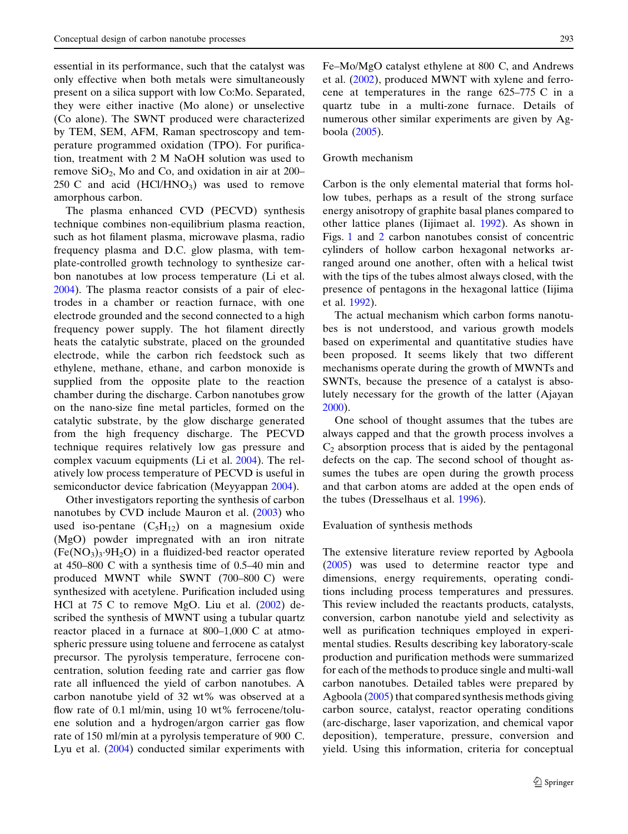$250 \text{ C}$  and acid  $(HCl/HNO<sub>3</sub>)$  was used to remove essential in its performance, such that the catalyst was only effective when both metals were simultaneously present on a silica support with low Co:Mo. Separated, they were either inactive (Mo alone) or unselective (Co alone). The SWNT produced were characterized by TEM, SEM, AFM, Raman spectroscopy and temperature programmed oxidation (TPO). For purification, treatment with 2 M NaOH solution was used to remove  $SiO<sub>2</sub>$ , Mo and Co, and oxidation in air at 200– amorphous carbon.

The plasma enhanced CVD (PECVD) synthesis technique combines non-equilibrium plasma reaction, such as hot filament plasma, microwave plasma, radio frequency plasma and D.C. glow plasma, with template-controlled growth technology to synthesize carbon nanotubes at low process temperature (Li et al. [2004\)](#page-22-0). The plasma reactor consists of a pair of electrodes in a chamber or reaction furnace, with one electrode grounded and the second connected to a high frequency power supply. The hot filament directly heats the catalytic substrate, placed on the grounded electrode, while the carbon rich feedstock such as ethylene, methane, ethane, and carbon monoxide is supplied from the opposite plate to the reaction chamber during the discharge. Carbon nanotubes grow on the nano-size fine metal particles, formed on the catalytic substrate, by the glow discharge generated from the high frequency discharge. The PECVD technique requires relatively low gas pressure and complex vacuum equipments (Li et al. [2004\)](#page-22-0). The relatively low process temperature of PECVD is useful in semiconductor device fabrication (Meyyappan [2004\)](#page-22-0).

 at 450–800 C with a synthesis time of 0.5–40 min and produced MWNT while SWNT (700–800 C) were HCl at 75 C to remove MgO. Liu et al. ([2002\)](#page-22-0) de reactor placed in a furnace at 800–1,000 C at atmo rate of 150 ml/min at a pyrolysis temperature of 900 C. Other investigators reporting the synthesis of carbon nanotubes by CVD include Mauron et al. ([2003\)](#page-22-0) who used iso-pentane  $(C_5H_{12})$  on a magnesium oxide (MgO) powder impregnated with an iron nitrate  $(Fe(NO<sub>3</sub>)<sub>3</sub>·9H<sub>2</sub>O)$  in a fluidized-bed reactor operated synthesized with acetylene. Purification included using scribed the synthesis of MWNT using a tubular quartz spheric pressure using toluene and ferrocene as catalyst precursor. The pyrolysis temperature, ferrocene concentration, solution feeding rate and carrier gas flow rate all influenced the yield of carbon nanotubes. A carbon nanotube yield of 32 wt% was observed at a flow rate of 0.1 ml/min, using 10 wt% ferrocene/toluene solution and a hydrogen/argon carrier gas flow Lyu et al. ([2004\)](#page-22-0) conducted similar experiments with

 Fe–Mo/MgO catalyst ethylene at 800 C, and Andrews cene at temperatures in the range 625–775 C in a et al. [\(2002](#page-21-0)), produced MWNT with xylene and ferroquartz tube in a multi-zone furnace. Details of numerous other similar experiments are given by Agboola ([2005\)](#page-21-0).

#### Growth mechanism

Carbon is the only elemental material that forms hollow tubes, perhaps as a result of the strong surface energy anisotropy of graphite basal planes compared to other lattice planes (Iijimaet al. [1992\)](#page-21-0). As shown in Figs. [1](#page-1-0) and [2](#page-1-0) carbon nanotubes consist of concentric cylinders of hollow carbon hexagonal networks arranged around one another, often with a helical twist with the tips of the tubes almost always closed, with the presence of pentagons in the hexagonal lattice (Iijima et al. [1992](#page-21-0)).

The actual mechanism which carbon forms nanotubes is not understood, and various growth models based on experimental and quantitative studies have been proposed. It seems likely that two different mechanisms operate during the growth of MWNTs and SWNTs, because the presence of a catalyst is absolutely necessary for the growth of the latter (Ajayan [2000](#page-21-0)).

One school of thought assumes that the tubes are always capped and that the growth process involves a  $C_2$  absorption process that is aided by the pentagonal defects on the cap. The second school of thought assumes the tubes are open during the growth process and that carbon atoms are added at the open ends of the tubes (Dresselhaus et al. [1996\)](#page-21-0).

# Evaluation of synthesis methods

The extensive literature review reported by Agboola ([2005\)](#page-21-0) was used to determine reactor type and dimensions, energy requirements, operating conditions including process temperatures and pressures. This review included the reactants products, catalysts, conversion, carbon nanotube yield and selectivity as well as purification techniques employed in experimental studies. Results describing key laboratory-scale production and purification methods were summarized for each of the methods to produce single and multi-wall carbon nanotubes. Detailed tables were prepared by Agboola [\(2005](#page-21-0)) that compared synthesis methods giving carbon source, catalyst, reactor operating conditions (arc-discharge, laser vaporization, and chemical vapor deposition), temperature, pressure, conversion and yield. Using this information, criteria for conceptual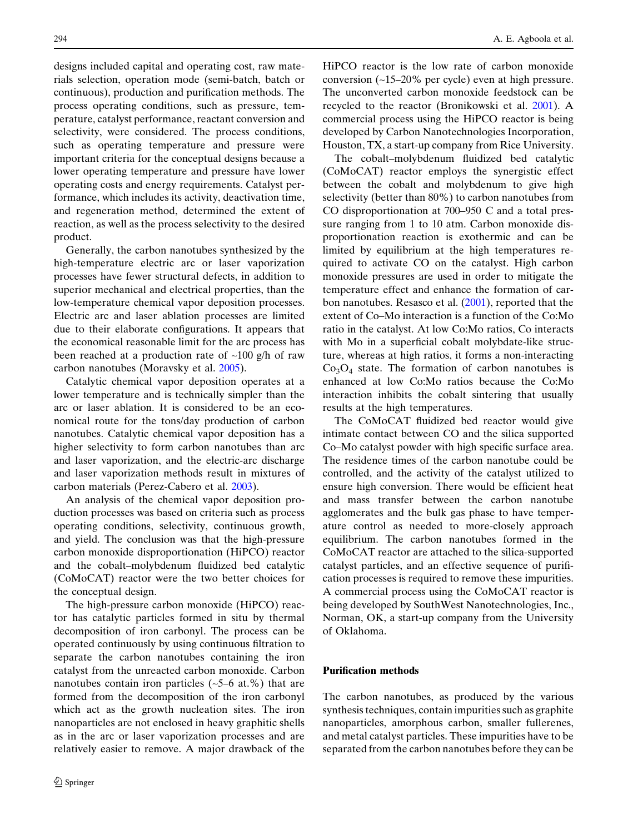designs included capital and operating cost, raw materials selection, operation mode (semi-batch, batch or continuous), production and purification methods. The process operating conditions, such as pressure, temperature, catalyst performance, reactant conversion and selectivity, were considered. The process conditions, such as operating temperature and pressure were important criteria for the conceptual designs because a lower operating temperature and pressure have lower operating costs and energy requirements. Catalyst performance, which includes its activity, deactivation time, and regeneration method, determined the extent of reaction, as well as the process selectivity to the desired product.

Generally, the carbon nanotubes synthesized by the high-temperature electric arc or laser vaporization processes have fewer structural defects, in addition to superior mechanical and electrical properties, than the low-temperature chemical vapor deposition processes. Electric arc and laser ablation processes are limited due to their elaborate configurations. It appears that the economical reasonable limit for the arc process has been reached at a production rate of  $\sim$ 100 g/h of raw carbon nanotubes (Moravsky et al. [2005\)](#page-22-0).

Catalytic chemical vapor deposition operates at a lower temperature and is technically simpler than the arc or laser ablation. It is considered to be an economical route for the tons/day production of carbon nanotubes. Catalytic chemical vapor deposition has a higher selectivity to form carbon nanotubes than arc and laser vaporization, and the electric-arc discharge and laser vaporization methods result in mixtures of carbon materials (Perez-Cabero et al. [2003\)](#page-22-0).

An analysis of the chemical vapor deposition production processes was based on criteria such as process operating conditions, selectivity, continuous growth, and yield. The conclusion was that the high-pressure carbon monoxide disproportionation (HiPCO) reactor and the cobalt–molybdenum fluidized bed catalytic (CoMoCAT) reactor were the two better choices for the conceptual design.

The high-pressure carbon monoxide (HiPCO) reactor has catalytic particles formed in situ by thermal decomposition of iron carbonyl. The process can be operated continuously by using continuous filtration to separate the carbon nanotubes containing the iron catalyst from the unreacted carbon monoxide. Carbon nanotubes contain iron particles  $(-5-6$  at.%) that are formed from the decomposition of the iron carbonyl which act as the growth nucleation sites. The iron nanoparticles are not enclosed in heavy graphitic shells as in the arc or laser vaporization processes and are relatively easier to remove. A major drawback of the

HiPCO reactor is the low rate of carbon monoxide conversion (~15–20% per cycle) even at high pressure. The unconverted carbon monoxide feedstock can be recycled to the reactor (Bronikowski et al. [2001](#page-21-0)). A commercial process using the HiPCO reactor is being developed by Carbon Nanotechnologies Incorporation, Houston, TX, a start-up company from Rice University.

 CO disproportionation at 700–950 C and a total pres-The cobalt–molybdenum fluidized bed catalytic (CoMoCAT) reactor employs the synergistic effect between the cobalt and molybdenum to give high selectivity (better than 80%) to carbon nanotubes from sure ranging from 1 to 10 atm. Carbon monoxide disproportionation reaction is exothermic and can be limited by equilibrium at the high temperatures required to activate CO on the catalyst. High carbon monoxide pressures are used in order to mitigate the temperature effect and enhance the formation of carbon nanotubes. Resasco et al. [\(2001](#page-22-0)), reported that the extent of Co–Mo interaction is a function of the Co:Mo ratio in the catalyst. At low Co:Mo ratios, Co interacts with Mo in a superficial cobalt molybdate-like structure, whereas at high ratios, it forms a non-interacting  $Co<sub>3</sub>O<sub>4</sub>$  state. The formation of carbon nanotubes is enhanced at low Co:Mo ratios because the Co:Mo interaction inhibits the cobalt sintering that usually results at the high temperatures.

The CoMoCAT fluidized bed reactor would give intimate contact between CO and the silica supported Co–Mo catalyst powder with high specific surface area. The residence times of the carbon nanotube could be controlled, and the activity of the catalyst utilized to ensure high conversion. There would be efficient heat and mass transfer between the carbon nanotube agglomerates and the bulk gas phase to have temperature control as needed to more-closely approach equilibrium. The carbon nanotubes formed in the CoMoCAT reactor are attached to the silica-supported catalyst particles, and an effective sequence of purification processes is required to remove these impurities. A commercial process using the CoMoCAT reactor is being developed by SouthWest Nanotechnologies, Inc., Norman, OK, a start-up company from the University of Oklahoma.

# Purification methods

The carbon nanotubes, as produced by the various synthesis techniques, contain impurities such as graphite nanoparticles, amorphous carbon, smaller fullerenes, and metal catalyst particles. These impurities have to be separated from the carbon nanotubes before they can be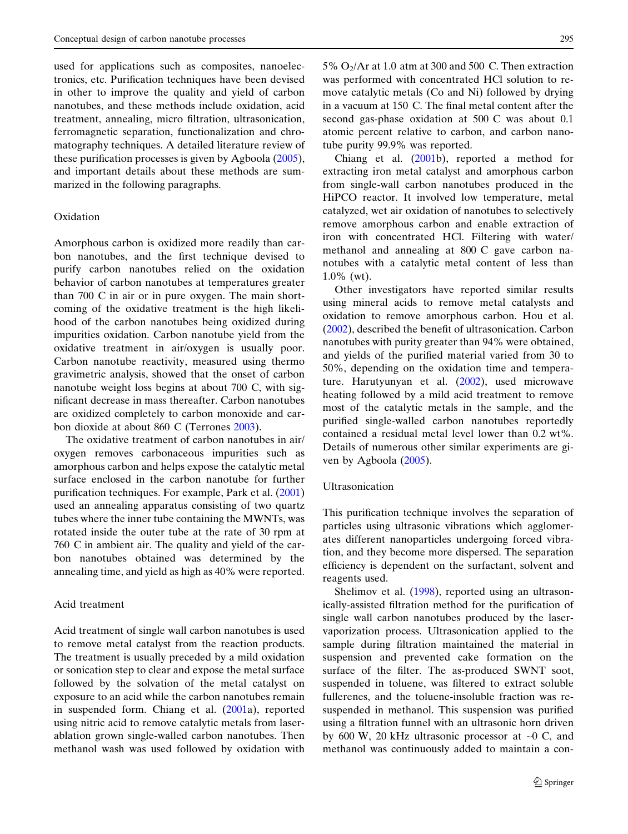used for applications such as composites, nanoelectronics, etc. Purification techniques have been devised in other to improve the quality and yield of carbon nanotubes, and these methods include oxidation, acid treatment, annealing, micro filtration, ultrasonication, ferromagnetic separation, functionalization and chromatography techniques. A detailed literature review of these purification processes is given by Agboola ([2005\)](#page-21-0), and important details about these methods are summarized in the following paragraphs.

# Oxidation

 than 700 C in air or in pure oxygen. The main short nanotube weight loss begins at about 700 C, with sig bon dioxide at about 860 C (Terrones [2003\)](#page-22-0). Amorphous carbon is oxidized more readily than carbon nanotubes, and the first technique devised to purify carbon nanotubes relied on the oxidation behavior of carbon nanotubes at temperatures greater coming of the oxidative treatment is the high likelihood of the carbon nanotubes being oxidized during impurities oxidation. Carbon nanotube yield from the oxidative treatment in air/oxygen is usually poor. Carbon nanotube reactivity, measured using thermo gravimetric analysis, showed that the onset of carbon nificant decrease in mass thereafter. Carbon nanotubes are oxidized completely to carbon monoxide and car-

 760 C in ambient air. The quality and yield of the car-The oxidative treatment of carbon nanotubes in air/ oxygen removes carbonaceous impurities such as amorphous carbon and helps expose the catalytic metal surface enclosed in the carbon nanotube for further purification techniques. For example, Park et al. [\(2001](#page-22-0)) used an annealing apparatus consisting of two quartz tubes where the inner tube containing the MWNTs, was rotated inside the outer tube at the rate of 30 rpm at bon nanotubes obtained was determined by the annealing time, and yield as high as 40% were reported.

# Acid treatment

Acid treatment of single wall carbon nanotubes is used to remove metal catalyst from the reaction products. The treatment is usually preceded by a mild oxidation or sonication step to clear and expose the metal surface followed by the solvation of the metal catalyst on exposure to an acid while the carbon nanotubes remain in suspended form. Chiang et al. ([2001a](#page-21-0)), reported using nitric acid to remove catalytic metals from laserablation grown single-walled carbon nanotubes. Then methanol wash was used followed by oxidation with

5%  $O_2$ /Ar at 1.0 atm at 300 and 500 C. Then extraction in a vacuum at 150 C. The final metal content after the second gas-phase oxidation at 500 C was about 0.1 was performed with concentrated HCl solution to remove catalytic metals (Co and Ni) followed by drying atomic percent relative to carbon, and carbon nanotube purity 99.9% was reported.

 methanol and annealing at 800 C gave carbon na-Chiang et al. ([2001b](#page-21-0)), reported a method for extracting iron metal catalyst and amorphous carbon from single-wall carbon nanotubes produced in the HiPCO reactor. It involved low temperature, metal catalyzed, wet air oxidation of nanotubes to selectively remove amorphous carbon and enable extraction of iron with concentrated HCl. Filtering with water/ notubes with a catalytic metal content of less than 1.0% (wt).

Other investigators have reported similar results using mineral acids to remove metal catalysts and oxidation to remove amorphous carbon. Hou et al. ([2002\)](#page-21-0), described the benefit of ultrasonication. Carbon nanotubes with purity greater than 94% were obtained, and yields of the purified material varied from 30 to 50%, depending on the oxidation time and temperature. Harutyunyan et al. [\(2002](#page-21-0)), used microwave heating followed by a mild acid treatment to remove most of the catalytic metals in the sample, and the purified single-walled carbon nanotubes reportedly contained a residual metal level lower than 0.2 wt%. Details of numerous other similar experiments are given by Agboola ([2005\)](#page-21-0).

### Ultrasonication

This purification technique involves the separation of particles using ultrasonic vibrations which agglomerates different nanoparticles undergoing forced vibration, and they become more dispersed. The separation efficiency is dependent on the surfactant, solvent and reagents used.

by 600 W, 20 kHz ultrasonic processor at  $\sim$ 0 C, and Shelimov et al. [\(1998](#page-22-0)), reported using an ultrasonically-assisted filtration method for the purification of single wall carbon nanotubes produced by the laservaporization process. Ultrasonication applied to the sample during filtration maintained the material in suspension and prevented cake formation on the surface of the filter. The as-produced SWNT soot, suspended in toluene, was filtered to extract soluble fullerenes, and the toluene-insoluble fraction was resuspended in methanol. This suspension was purified using a filtration funnel with an ultrasonic horn driven methanol was continuously added to maintain a con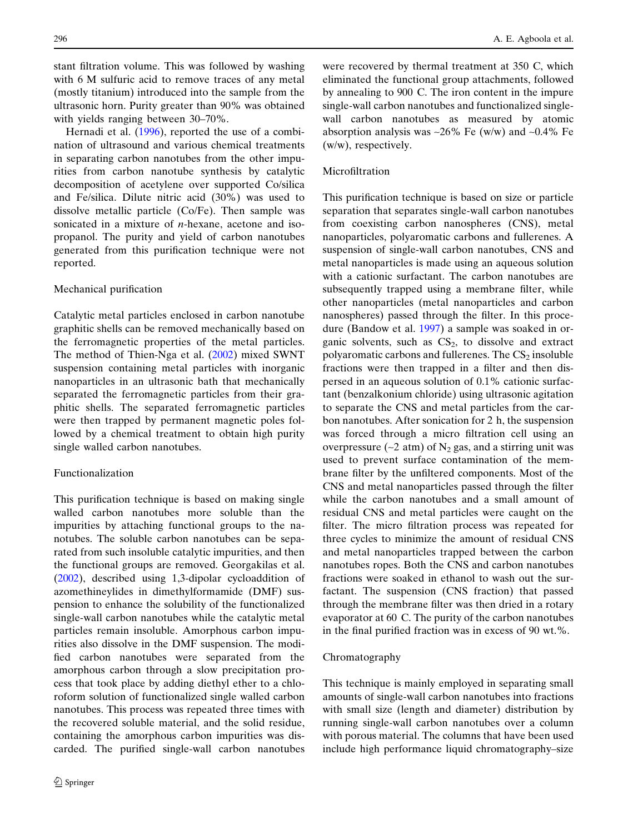stant filtration volume. This was followed by washing with 6 M sulfuric acid to remove traces of any metal (mostly titanium) introduced into the sample from the ultrasonic horn. Purity greater than 90% was obtained with yields ranging between 30–70%.

Hernadi et al. ([1996\)](#page-21-0), reported the use of a combination of ultrasound and various chemical treatments in separating carbon nanotubes from the other impurities from carbon nanotube synthesis by catalytic decomposition of acetylene over supported Co/silica and Fe/silica. Dilute nitric acid (30%) was used to dissolve metallic particle (Co/Fe). Then sample was sonicated in a mixture of *n*-hexane, acetone and isopropanol. The purity and yield of carbon nanotubes generated from this purification technique were not reported.

# Mechanical purification

Catalytic metal particles enclosed in carbon nanotube graphitic shells can be removed mechanically based on the ferromagnetic properties of the metal particles. The method of Thien-Nga et al. [\(2002](#page-22-0)) mixed SWNT suspension containing metal particles with inorganic nanoparticles in an ultrasonic bath that mechanically separated the ferromagnetic particles from their graphitic shells. The separated ferromagnetic particles were then trapped by permanent magnetic poles followed by a chemical treatment to obtain high purity single walled carbon nanotubes.

# Functionalization

This purification technique is based on making single walled carbon nanotubes more soluble than the impurities by attaching functional groups to the nanotubes. The soluble carbon nanotubes can be separated from such insoluble catalytic impurities, and then the functional groups are removed. Georgakilas et al. ([2002\)](#page-21-0), described using 1,3-dipolar cycloaddition of azomethineylides in dimethylformamide (DMF) suspension to enhance the solubility of the functionalized single-wall carbon nanotubes while the catalytic metal particles remain insoluble. Amorphous carbon impurities also dissolve in the DMF suspension. The modified carbon nanotubes were separated from the amorphous carbon through a slow precipitation process that took place by adding diethyl ether to a chloroform solution of functionalized single walled carbon nanotubes. This process was repeated three times with the recovered soluble material, and the solid residue, containing the amorphous carbon impurities was discarded. The purified single-wall carbon nanotubes

 were recovered by thermal treatment at 350 C, which by annealing to 900 C. The iron content in the impure eliminated the functional group attachments, followed single-wall carbon nanotubes and functionalized singlewall carbon nanotubes as measured by atomic absorption analysis was  $\sim$ 26% Fe (w/w) and  $\sim$ 0.4% Fe (w/w), respectively.

# Microfiltration

 evaporator at 60 C. The purity of the carbon nanotubes This purification technique is based on size or particle separation that separates single-wall carbon nanotubes from coexisting carbon nanospheres (CNS), metal nanoparticles, polyaromatic carbons and fullerenes. A suspension of single-wall carbon nanotubes, CNS and metal nanoparticles is made using an aqueous solution with a cationic surfactant. The carbon nanotubes are subsequently trapped using a membrane filter, while other nanoparticles (metal nanoparticles and carbon nanospheres) passed through the filter. In this procedure (Bandow et al. [1997\)](#page-21-0) a sample was soaked in organic solvents, such as  $CS_2$ , to dissolve and extract polyaromatic carbons and fullerenes. The  $CS<sub>2</sub>$  insoluble fractions were then trapped in a filter and then dispersed in an aqueous solution of 0.1% cationic surfactant (benzalkonium chloride) using ultrasonic agitation to separate the CNS and metal particles from the carbon nanotubes. After sonication for 2 h, the suspension was forced through a micro filtration cell using an overpressure ( $\sim$ 2 atm) of N<sub>2</sub> gas, and a stirring unit was used to prevent surface contamination of the membrane filter by the unfiltered components. Most of the CNS and metal nanoparticles passed through the filter while the carbon nanotubes and a small amount of residual CNS and metal particles were caught on the filter. The micro filtration process was repeated for three cycles to minimize the amount of residual CNS and metal nanoparticles trapped between the carbon nanotubes ropes. Both the CNS and carbon nanotubes fractions were soaked in ethanol to wash out the surfactant. The suspension (CNS fraction) that passed through the membrane filter was then dried in a rotary in the final purified fraction was in excess of 90 wt.%.

#### Chromatography

This technique is mainly employed in separating small amounts of single-wall carbon nanotubes into fractions with small size (length and diameter) distribution by running single-wall carbon nanotubes over a column with porous material. The columns that have been used include high performance liquid chromatography–size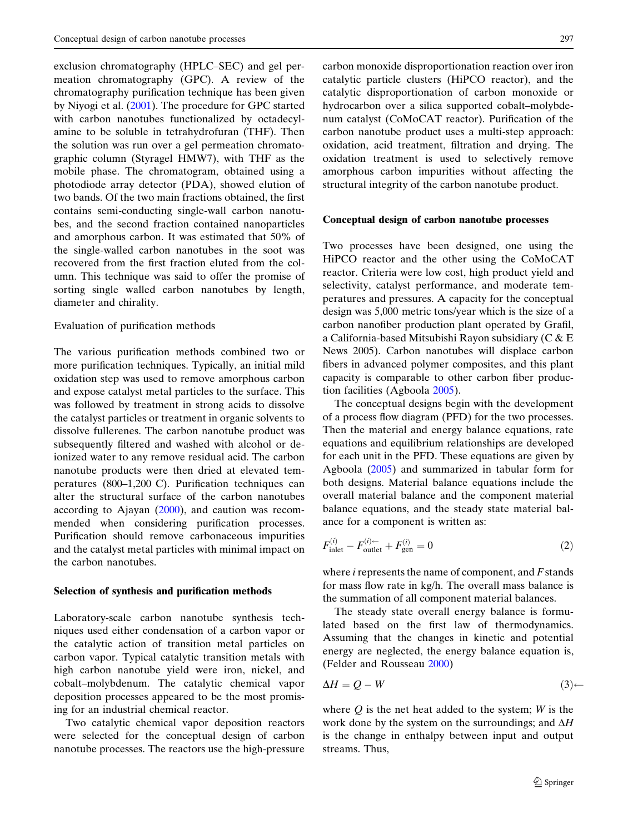exclusion chromatography (HPLC–SEC) and gel permeation chromatography (GPC). A review of the chromatography purification technique has been given by Niyogi et al. ([2001\)](#page-22-0). The procedure for GPC started with carbon nanotubes functionalized by octadecylamine to be soluble in tetrahydrofuran (THF). Then the solution was run over a gel permeation chromatographic column (Styragel HMW7), with THF as the mobile phase. The chromatogram, obtained using a photodiode array detector (PDA), showed elution of two bands. Of the two main fractions obtained, the first contains semi-conducting single-wall carbon nanotubes, and the second fraction contained nanoparticles and amorphous carbon. It was estimated that 50% of the single-walled carbon nanotubes in the soot was recovered from the first fraction eluted from the column. This technique was said to offer the promise of sorting single walled carbon nanotubes by length, diameter and chirality.

# Evaluation of purification methods

 peratures (800–1,200 C). Purification techniques can The various purification methods combined two or more purification techniques. Typically, an initial mild oxidation step was used to remove amorphous carbon and expose catalyst metal particles to the surface. This was followed by treatment in strong acids to dissolve the catalyst particles or treatment in organic solvents to dissolve fullerenes. The carbon nanotube product was subsequently filtered and washed with alcohol or deionized water to any remove residual acid. The carbon nanotube products were then dried at elevated temalter the structural surface of the carbon nanotubes according to Ajayan ([2000\)](#page-21-0), and caution was recommended when considering purification processes. Purification should remove carbonaceous impurities and the catalyst metal particles with minimal impact on the carbon nanotubes.

#### Selection of synthesis and purification methods

Laboratory-scale carbon nanotube synthesis techniques used either condensation of a carbon vapor or the catalytic action of transition metal particles on carbon vapor. Typical catalytic transition metals with high carbon nanotube yield were iron, nickel, and cobalt–molybdenum. The catalytic chemical vapor deposition processes appeared to be the most promising for an industrial chemical reactor.

Two catalytic chemical vapor deposition reactors were selected for the conceptual design of carbon nanotube processes. The reactors use the high-pressure

carbon monoxide disproportionation reaction over iron catalytic particle clusters (HiPCO reactor), and the catalytic disproportionation of carbon monoxide or hydrocarbon over a silica supported cobalt–molybdenum catalyst (CoMoCAT reactor). Purification of the carbon nanotube product uses a multi-step approach: oxidation, acid treatment, filtration and drying. The oxidation treatment is used to selectively remove amorphous carbon impurities without affecting the structural integrity of the carbon nanotube product.

### Conceptual design of carbon nanotube processes

Two processes have been designed, one using the HiPCO reactor and the other using the CoMoCAT reactor. Criteria were low cost, high product yield and selectivity, catalyst performance, and moderate temperatures and pressures. A capacity for the conceptual design was 5,000 metric tons/year which is the size of a carbon nanofiber production plant operated by Grafil, a California-based Mitsubishi Rayon subsidiary (C & E News 2005). Carbon nanotubes will displace carbon fibers in advanced polymer composites, and this plant capacity is comparable to other carbon fiber production facilities (Agboola [2005\)](#page-21-0).

The conceptual designs begin with the development of a process flow diagram (PFD) for the two processes. Then the material and energy balance equations, rate equations and equilibrium relationships are developed for each unit in the PFD. These equations are given by Agboola [\(2005](#page-21-0)) and summarized in tabular form for both designs. Material balance equations include the overall material balance and the component material balance equations, and the steady state material balance for a component is written as:

$$
F_{\text{inlet}}^{(i)} - F_{\text{outlet}}^{(i)\leftarrow} + F_{\text{gen}}^{(i)} = 0
$$
\n
$$
(2)
$$

where  $i$  represents the name of component, and  $F$  stands for mass flow rate in kg/h. The overall mass balance is the summation of all component material balances.

The steady state overall energy balance is formulated based on the first law of thermodynamics. Assuming that the changes in kinetic and potential energy are neglected, the energy balance equation is, (Felder and Rousseau [2000](#page-21-0))

$$
\Delta H = Q - W \tag{3} \leftarrow
$$

where  $Q$  is the net heat added to the system;  $W$  is the work done by the system on the surroundings; and  $\Delta H$ is the change in enthalpy between input and output streams. Thus,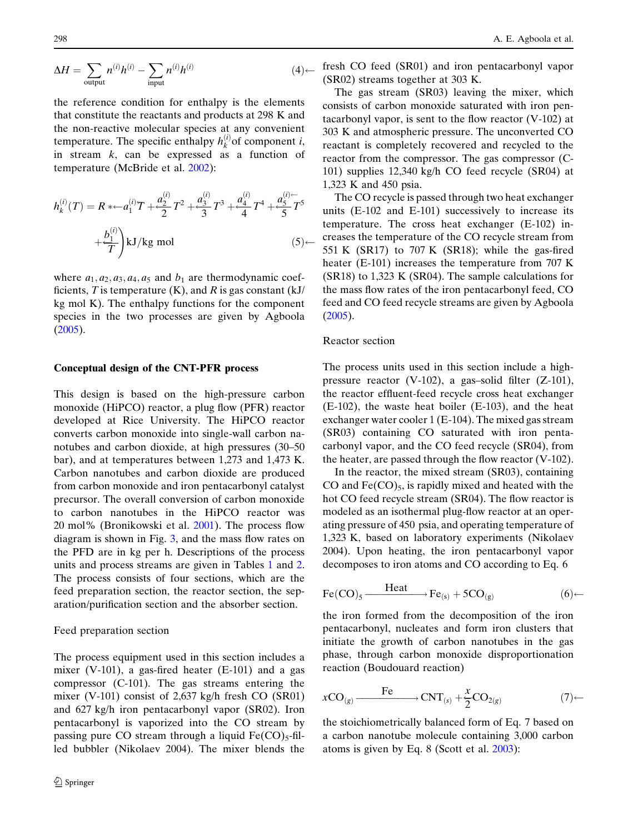$$
\Delta H = \sum_{\text{output}} n^{(i)} h^{(i)} - \sum_{\text{input}} n^{(i)} h^{(i)} \tag{4}
$$

the reference condition for enthalpy is the elements that constitute the reactants and products at 298 K and the non-reactive molecular species at any convenient temperature. The specific enthalpy  $h_k^{(i)}$  of component i, in stream  $k$ , can be expressed as a function of temperature (McBride et al. [2002\)](#page-22-0):

$$
h_k^{(i)}(T) = R * \leftarrow a_1^{(i)}T + \frac{a_2^{(i)}}{2}T^2 + \frac{a_3^{(i)}}{3}T^3 + \frac{a_4^{(i)}}{4}T^4 + \frac{a_5^{(i)} - 1}{5}T^5
$$
  
+  $\frac{b_1^{(i)}}{T}$  kJ/kg mol (5)

where  $a_1, a_2, a_3, a_4, a_5$  and  $b_1$  are thermodynamic coefficients, T is temperature  $(K)$ , and R is gas constant  $(kJ)$ kg mol K). The enthalpy functions for the component species in the two processes are given by Agboola ([2005\)](#page-21-0).

### Conceptual design of the CNT-PFR process

This design is based on the high-pressure carbon monoxide (HiPCO) reactor, a plug flow (PFR) reactor developed at Rice University. The HiPCO reactor converts carbon monoxide into single-wall carbon nanotubes and carbon dioxide, at high pressures (30–50 bar), and at temperatures between 1,273 and 1,473 K. Carbon nanotubes and carbon dioxide are produced from carbon monoxide and iron pentacarbonyl catalyst precursor. The overall conversion of carbon monoxide to carbon nanotubes in the HiPCO reactor was 20 mol% (Bronikowski et al. [2001\)](#page-21-0). The process flow diagram is shown in Fig. [3,](#page-10-0) and the mass flow rates on the PFD are in kg per h. Descriptions of the process units and process streams are given in Tables [1](#page-11-0) and [2.](#page-12-0) The process consists of four sections, which are the feed preparation section, the reactor section, the separation/purification section and the absorber section.

#### Feed preparation section

The process equipment used in this section includes a mixer (V-101), a gas-fired heater  $(E-101)$  and a gas compressor (C-101). The gas streams entering the mixer (V-101) consist of 2,637 kg/h fresh CO (SR01) and 627 kg/h iron pentacarbonyl vapor (SR02). Iron pentacarbonyl is vaporized into the CO stream by passing pure CO stream through a liquid  $Fe(CO)_{5}$ -filled bubbler (Nikolaev 2004). The mixer blends the fresh CO feed (SR01) and iron pentacarbonyl vapor (SR02) streams together at 303 K.

The gas stream (SR03) leaving the mixer, which consists of carbon monoxide saturated with iron pentacarbonyl vapor, is sent to the flow reactor (V-102) at 303 K and atmospheric pressure. The unconverted CO reactant is completely recovered and recycled to the reactor from the compressor. The gas compressor (C-101) supplies 12,340 kg/h CO feed recycle (SR04) at 1,323 K and 450 psia.

The CO recycle is passed through two heat exchanger units (E-102 and E-101) successively to increase its temperature. The cross heat exchanger (E-102) increases the temperature of the CO recycle stream from 551 K (SR17) to 707 K (SR18); while the gas-fired heater (E-101) increases the temperature from 707 K (SR18) to 1,323 K (SR04). The sample calculations for the mass flow rates of the iron pentacarbonyl feed, CO feed and CO feed recycle streams are given by Agboola ([2005\)](#page-21-0).

#### Reactor section

The process units used in this section include a highpressure reactor (V-102), a gas–solid filter (Z-101), the reactor effluent-feed recycle cross heat exchanger (E-102), the waste heat boiler (E-103), and the heat exchanger water cooler 1 (E-104). The mixed gas stream (SR03) containing CO saturated with iron pentacarbonyl vapor, and the CO feed recycle (SR04), from the heater, are passed through the flow reactor (V-102).

In the reactor, the mixed stream (SR03), containing CO and  $Fe(CO)_{5}$ , is rapidly mixed and heated with the hot CO feed recycle stream (SR04). The flow reactor is modeled as an isothermal plug-flow reactor at an operating pressure of 450 psia, and operating temperature of 1,323 K, based on laboratory experiments (Nikolaev 2004). Upon heating, the iron pentacarbonyl vapor decomposes to iron atoms and CO according to Eq. 6

$$
\text{Fe(CO)}_5 \xrightarrow{\text{Heat}} \text{Fe}_{(s)} + 5\text{CO}_{(g)} \tag{6} \leftarrow
$$

the iron formed from the decomposition of the iron pentacarbonyl, nucleates and form iron clusters that initiate the growth of carbon nanotubes in the gas phase, through carbon monoxide disproportionation reaction (Boudouard reaction)

$$
x\mathrm{CO}_{(g)} \xrightarrow{\qquad \qquad \mathrm{Fe} \qquad} \mathrm{CNT}_{(s)} + \frac{x}{2}\mathrm{CO}_{2(g)} \tag{7}\leftarrow
$$

the stoichiometrically balanced form of Eq. 7 based on a carbon nanotube molecule containing 3,000 carbon atoms is given by Eq. 8 (Scott et al. [2003](#page-22-0)):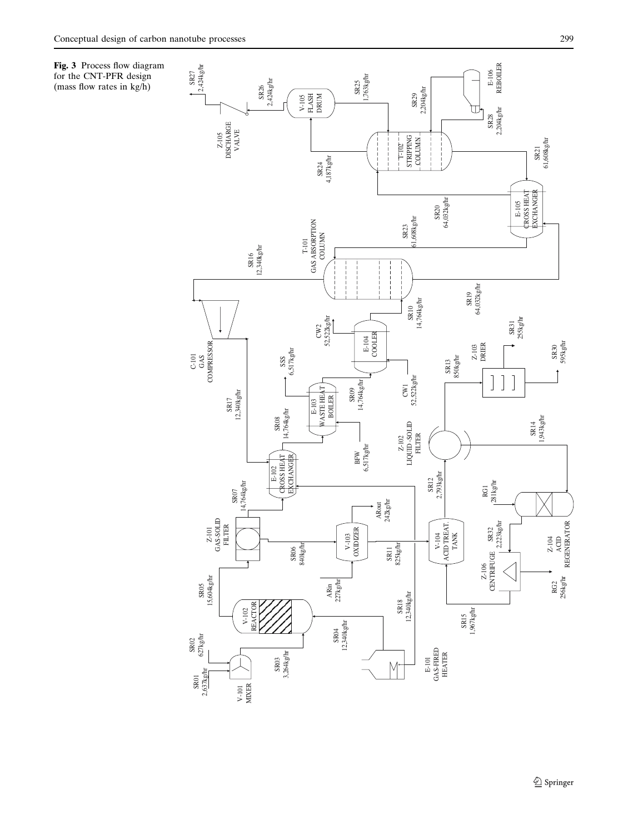for the CNT-PFR design (mass flow rates in kg/h)

<span id="page-10-0"></span>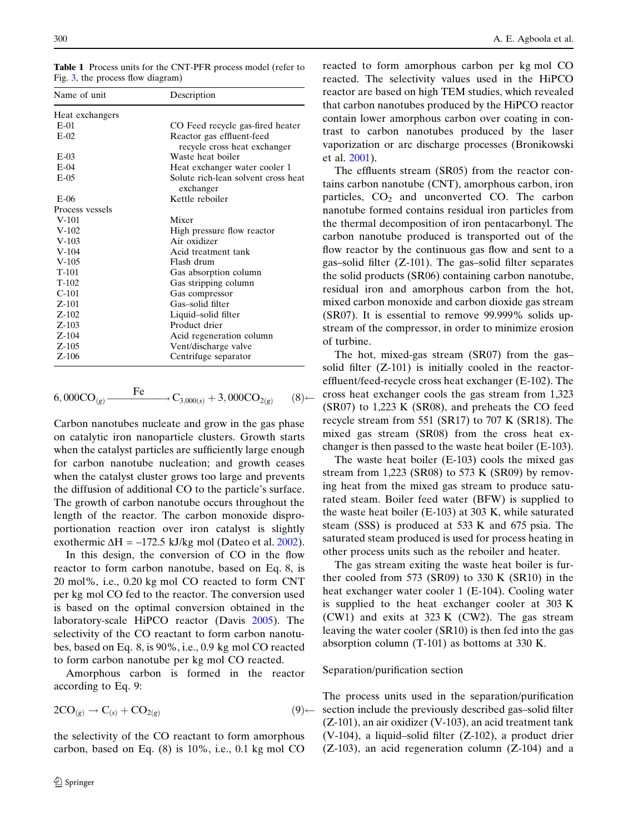<span id="page-11-0"></span>Table 1 Process units for the CNT-PFR process model (refer to Fig. [3,](#page-10-0) the process flow diagram)

| Name of unit    | Description                                               |  |  |
|-----------------|-----------------------------------------------------------|--|--|
| Heat exchangers |                                                           |  |  |
| $E-01$          | CO Feed recycle gas-fired heater                          |  |  |
| $E-02$          | Reactor gas effluent-feed<br>recycle cross heat exchanger |  |  |
| $E-03$          | Waste heat boiler                                         |  |  |
| $E-04$          | Heat exchanger water cooler 1                             |  |  |
| $E-0.5$         | Solute rich-lean solvent cross heat<br>exchanger          |  |  |
| $E-06$          | Kettle reboiler                                           |  |  |
| Process vessels |                                                           |  |  |
| $V-101$         | Mixer                                                     |  |  |
| $V-102$         | High pressure flow reactor                                |  |  |
| $V-103$         | Air oxidizer                                              |  |  |
| $V-104$         | Acid treatment tank                                       |  |  |
| $V-105$         | Flash drum                                                |  |  |
| $T-101$         | Gas absorption column                                     |  |  |
| $T-102$         | Gas stripping column                                      |  |  |
| $C-101$         | Gas compressor                                            |  |  |
| $Z - 101$       | Gas-solid filter                                          |  |  |
| $Z-102$         | Liquid-solid filter                                       |  |  |
| $Z-103$         | Product drier                                             |  |  |
| $Z - 104$       | Acid regeneration column                                  |  |  |
| $Z-105$         | Vent/discharge valve                                      |  |  |
| $Z - 106$       | Centrifuge separator                                      |  |  |

$$
6,000\text{CO}_{(g)} \xrightarrow{\text{Fe}} \text{C}_{3,000(s)} + 3,000\text{CO}_{2(g)} \qquad (8)
$$

Carbon nanotubes nucleate and grow in the gas phase on catalytic iron nanoparticle clusters. Growth starts when the catalyst particles are sufficiently large enough for carbon nanotube nucleation; and growth ceases when the catalyst cluster grows too large and prevents the diffusion of additional CO to the particle's surface. The growth of carbon nanotube occurs throughout the length of the reactor. The carbon monoxide disproportionation reaction over iron catalyst is slightly exothermic  $\Delta H = -172.5$  kJ/kg mol (Dateo et al. [2002\)](#page-21-0).

In this design, the conversion of CO in the flow reactor to form carbon nanotube, based on Eq. 8, is 20 mol%, i.e., 0.20 kg mol CO reacted to form CNT per kg mol CO fed to the reactor. The conversion used is based on the optimal conversion obtained in the laboratory-scale HiPCO reactor (Davis [2005](#page-21-0)). The selectivity of the CO reactant to form carbon nanotubes, based on Eq. 8, is 90%, i.e., 0.9 kg mol CO reacted to form carbon nanotube per kg mol CO reacted.

Amorphous carbon is formed in the reactor according to Eq. 9:

$$
2CO_{(g)} \to C_{(s)} + CO_{2(g)} \tag{9}
$$

the selectivity of the CO reactant to form amorphous carbon, based on Eq. (8) is 10%, i.e., 0.1 kg mol CO reacted to form amorphous carbon per kg mol CO reacted. The selectivity values used in the HiPCO reactor are based on high TEM studies, which revealed that carbon nanotubes produced by the HiPCO reactor contain lower amorphous carbon over coating in contrast to carbon nanotubes produced by the laser vaporization or arc discharge processes (Bronikowski et al. [2001](#page-21-0)).

The effluents stream (SR05) from the reactor contains carbon nanotube (CNT), amorphous carbon, iron particles,  $CO<sub>2</sub>$  and unconverted CO. The carbon nanotube formed contains residual iron particles from the thermal decomposition of iron pentacarbonyl. The carbon nanotube produced is transported out of the flow reactor by the continuous gas flow and sent to a gas–solid filter (Z-101). The gas–solid filter separates the solid products (SR06) containing carbon nanotube, residual iron and amorphous carbon from the hot, mixed carbon monoxide and carbon dioxide gas stream (SR07). It is essential to remove 99.999% solids upstream of the compressor, in order to minimize erosion of turbine.

The hot, mixed-gas stream (SR07) from the gas– solid filter (Z-101) is initially cooled in the reactoreffluent/feed-recycle cross heat exchanger (E-102). The cross heat exchanger cools the gas stream from 1,323 (SR07) to 1,223 K (SR08), and preheats the CO feed recycle stream from 551 (SR17) to 707 K (SR18). The mixed gas stream (SR08) from the cross heat exchanger is then passed to the waste heat boiler (E-103).

The waste heat boiler (E-103) cools the mixed gas stream from 1,223 (SR08) to 573 K (SR09) by removing heat from the mixed gas stream to produce saturated steam. Boiler feed water (BFW) is supplied to the waste heat boiler (E-103) at 303 K, while saturated steam (SSS) is produced at 533 K and 675 psia. The saturated steam produced is used for process heating in other process units such as the reboiler and heater.

The gas stream exiting the waste heat boiler is further cooled from 573 (SR09) to 330 K (SR10) in the heat exchanger water cooler 1 (E-104). Cooling water is supplied to the heat exchanger cooler at 303 K (CW1) and exits at 323 K (CW2). The gas stream leaving the water cooler (SR10) is then fed into the gas absorption column (T-101) as bottoms at 330 K.

### Separation/purification section

The process units used in the separation/purification section include the previously described gas–solid filter (Z-101), an air oxidizer (V-103), an acid treatment tank (V-104), a liquid–solid filter (Z-102), a product drier (Z-103), an acid regeneration column (Z-104) and a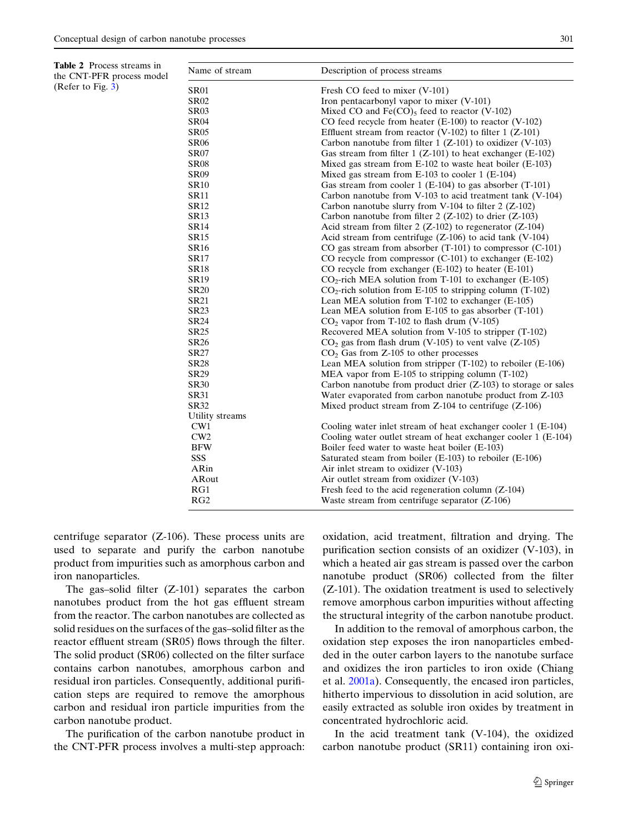<span id="page-12-0"></span>

| <b>Table 2</b> Process streams in |  |
|-----------------------------------|--|
| the CNT-PFR process model         |  |
| (Refer to Fig. $3$ )              |  |

| Name of stream  | Description of process streams                                   |
|-----------------|------------------------------------------------------------------|
| <b>SR01</b>     | Fresh CO feed to mixer (V-101)                                   |
| <b>SR02</b>     | Iron pentacarbonyl vapor to mixer (V-101)                        |
| <b>SR03</b>     | Mixed CO and $Fe(CO)$ <sub>5</sub> feed to reactor (V-102)       |
| <b>SR04</b>     | CO feed recycle from heater (E-100) to reactor (V-102)           |
| <b>SR05</b>     | Effluent stream from reactor (V-102) to filter $1$ (Z-101)       |
| <b>SR06</b>     | Carbon nanotube from filter $1 (Z-101)$ to oxidizer (V-103)      |
| <b>SR07</b>     | Gas stream from filter $1 (Z-101)$ to heat exchanger (E-102)     |
| <b>SR08</b>     | Mixed gas stream from $E-102$ to waste heat boiler $(E-103)$     |
| <b>SR09</b>     | Mixed gas stream from E-103 to cooler 1 (E-104)                  |
| <b>SR10</b>     | Gas stream from cooler $1$ (E-104) to gas absorber (T-101)       |
| <b>SR11</b>     | Carbon nanotube from V-103 to acid treatment tank (V-104)        |
| <b>SR12</b>     | Carbon nanotube slurry from V-104 to filter $2$ (Z-102)          |
| <b>SR13</b>     | Carbon nanotube from filter $2$ (Z-102) to drier (Z-103)         |
| <b>SR14</b>     | Acid stream from filter $2$ (Z-102) to regenerator (Z-104)       |
| <b>SR15</b>     | Acid stream from centrifuge $(Z-106)$ to acid tank $(V-104)$     |
| <b>SR16</b>     | CO gas stream from absorber $(T-101)$ to compressor $(C-101)$    |
| <b>SR17</b>     | CO recycle from compressor (C-101) to exchanger (E-102)          |
| <b>SR18</b>     | CO recycle from exchanger (E-102) to heater (E-101)              |
| <b>SR19</b>     | $CO2$ -rich MEA solution from T-101 to exchanger (E-105)         |
| <b>SR20</b>     | $CO2$ -rich solution from E-105 to stripping column (T-102)      |
| <b>SR21</b>     | Lean MEA solution from $T-102$ to exchanger (E-105)              |
| <b>SR23</b>     | Lean MEA solution from $E-105$ to gas absorber $(T-101)$         |
| <b>SR24</b>     | $CO2$ vapor from T-102 to flash drum (V-105)                     |
| <b>SR25</b>     | Recovered MEA solution from V-105 to stripper (T-102)            |
| <b>SR26</b>     | $CO2$ gas from flash drum (V-105) to vent valve (Z-105)          |
| <b>SR27</b>     | $CO2$ Gas from Z-105 to other processes                          |
| <b>SR28</b>     | Lean MEA solution from stripper $(T-102)$ to reboiler $(E-106)$  |
| <b>SR29</b>     | MEA vapor from E-105 to stripping column (T-102)                 |
| <b>SR30</b>     | Carbon nanotube from product drier $(Z-103)$ to storage or sales |
| <b>SR31</b>     | Water evaporated from carbon nanotube product from Z-103         |
| <b>SR32</b>     | Mixed product stream from Z-104 to centrifuge (Z-106)            |
| Utility streams |                                                                  |
| CW1             | Cooling water inlet stream of heat exchanger cooler 1 (E-104)    |
| CW2             | Cooling water outlet stream of heat exchanger cooler 1 (E-104)   |
| <b>BFW</b>      | Boiler feed water to waste heat boiler (E-103)                   |
| SSS             | Saturated steam from boiler (E-103) to reboiler (E-106)          |
| ARin            | Air inlet stream to oxidizer (V-103)                             |
| ARout           | Air outlet stream from oxidizer (V-103)                          |
| RG1             | Fresh feed to the acid regeneration column $(Z-104)$             |
| RG2             | Waste stream from centrifuge separator (Z-106)                   |

centrifuge separator (Z-106). These process units are used to separate and purify the carbon nanotube product from impurities such as amorphous carbon and iron nanoparticles.

The gas–solid filter (Z-101) separates the carbon nanotubes product from the hot gas effluent stream from the reactor. The carbon nanotubes are collected as solid residues on the surfaces of the gas–solid filter as the reactor effluent stream (SR05) flows through the filter. The solid product (SR06) collected on the filter surface contains carbon nanotubes, amorphous carbon and residual iron particles. Consequently, additional purification steps are required to remove the amorphous carbon and residual iron particle impurities from the carbon nanotube product.

The purification of the carbon nanotube product in the CNT-PFR process involves a multi-step approach: oxidation, acid treatment, filtration and drying. The purification section consists of an oxidizer (V-103), in which a heated air gas stream is passed over the carbon nanotube product (SR06) collected from the filter (Z-101). The oxidation treatment is used to selectively remove amorphous carbon impurities without affecting the structural integrity of the carbon nanotube product.

In addition to the removal of amorphous carbon, the oxidation step exposes the iron nanoparticles embedded in the outer carbon layers to the nanotube surface and oxidizes the iron particles to iron oxide (Chiang et al. [2001a\)](#page-21-0). Consequently, the encased iron particles, hitherto impervious to dissolution in acid solution, are easily extracted as soluble iron oxides by treatment in concentrated hydrochloric acid.

In the acid treatment tank (V-104), the oxidized carbon nanotube product (SR11) containing iron oxi-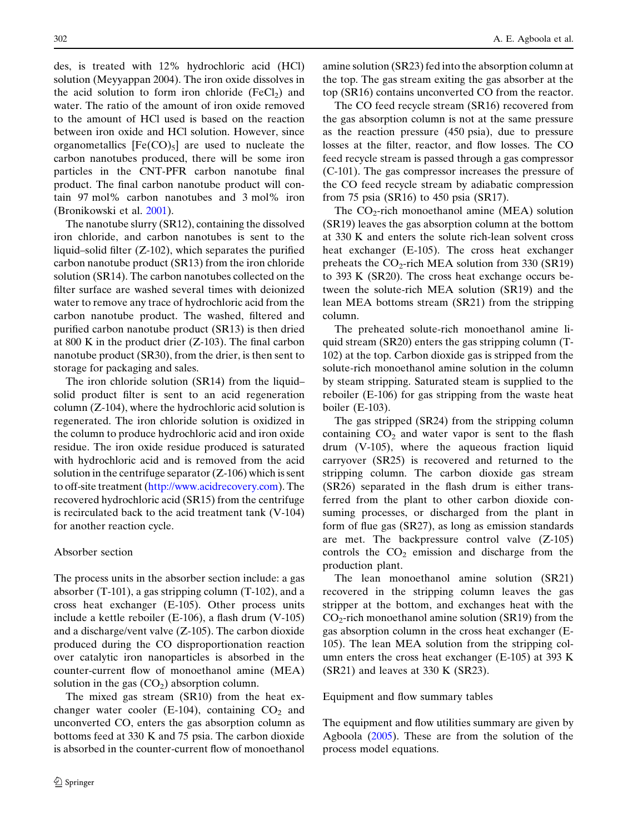des, is treated with 12% hydrochloric acid (HCl) solution (Meyyappan 2004). The iron oxide dissolves in the acid solution to form iron chloride  $(FeCl<sub>2</sub>)$  and water. The ratio of the amount of iron oxide removed to the amount of HCl used is based on the reaction between iron oxide and HCl solution. However, since organometallics  $[Fe(CO)_5]$  are used to nucleate the carbon nanotubes produced, there will be some iron particles in the CNT-PFR carbon nanotube final product. The final carbon nanotube product will contain 97 mol% carbon nanotubes and 3 mol% iron (Bronikowski et al. [2001\)](#page-21-0).

The nanotube slurry (SR12), containing the dissolved iron chloride, and carbon nanotubes is sent to the liquid–solid filter (Z-102), which separates the purified carbon nanotube product (SR13) from the iron chloride solution (SR14). The carbon nanotubes collected on the filter surface are washed several times with deionized water to remove any trace of hydrochloric acid from the carbon nanotube product. The washed, filtered and purified carbon nanotube product (SR13) is then dried at 800 K in the product drier (Z-103). The final carbon nanotube product (SR30), from the drier, is then sent to storage for packaging and sales.

The iron chloride solution (SR14) from the liquid– solid product filter is sent to an acid regeneration column (Z-104), where the hydrochloric acid solution is regenerated. The iron chloride solution is oxidized in the column to produce hydrochloric acid and iron oxide residue. The iron oxide residue produced is saturated with hydrochloric acid and is removed from the acid solution in the centrifuge separator  $(Z-106)$  which is sent to off-site treatment ([http://www.acidrecovery.com\)](http://www.acidrecovery.com). The recovered hydrochloric acid (SR15) from the centrifuge is recirculated back to the acid treatment tank (V-104) for another reaction cycle.

# Absorber section

The process units in the absorber section include: a gas absorber (T-101), a gas stripping column (T-102), and a cross heat exchanger (E-105). Other process units include a kettle reboiler (E-106), a flash drum (V-105) and a discharge/vent valve (Z-105). The carbon dioxide produced during the CO disproportionation reaction over catalytic iron nanoparticles is absorbed in the counter-current flow of monoethanol amine (MEA) solution in the gas  $(CO<sub>2</sub>)$  absorption column.

The mixed gas stream (SR10) from the heat exchanger water cooler (E-104), containing  $CO<sub>2</sub>$  and unconverted CO, enters the gas absorption column as bottoms feed at 330 K and 75 psia. The carbon dioxide is absorbed in the counter-current flow of monoethanol

amine solution (SR23) fed into the absorption column at the top. The gas stream exiting the gas absorber at the top (SR16) contains unconverted CO from the reactor.

The CO feed recycle stream (SR16) recovered from the gas absorption column is not at the same pressure as the reaction pressure (450 psia), due to pressure losses at the filter, reactor, and flow losses. The CO feed recycle stream is passed through a gas compressor (C-101). The gas compressor increases the pressure of the CO feed recycle stream by adiabatic compression from 75 psia (SR16) to 450 psia (SR17).

The  $CO<sub>2</sub>$ -rich monoethanol amine (MEA) solution (SR19) leaves the gas absorption column at the bottom at 330 K and enters the solute rich-lean solvent cross heat exchanger (E-105). The cross heat exchanger preheats the  $CO_2$ -rich MEA solution from 330 (SR19) to 393 K (SR20). The cross heat exchange occurs between the solute-rich MEA solution (SR19) and the lean MEA bottoms stream (SR21) from the stripping column.

The preheated solute-rich monoethanol amine liquid stream (SR20) enters the gas stripping column (T-102) at the top. Carbon dioxide gas is stripped from the solute-rich monoethanol amine solution in the column by steam stripping. Saturated steam is supplied to the reboiler (E-106) for gas stripping from the waste heat boiler (E-103).

The gas stripped (SR24) from the stripping column containing  $CO<sub>2</sub>$  and water vapor is sent to the flash drum (V-105), where the aqueous fraction liquid carryover (SR25) is recovered and returned to the stripping column. The carbon dioxide gas stream (SR26) separated in the flash drum is either transferred from the plant to other carbon dioxide consuming processes, or discharged from the plant in form of flue gas (SR27), as long as emission standards are met. The backpressure control valve (Z-105) controls the  $CO<sub>2</sub>$  emission and discharge from the production plant.

The lean monoethanol amine solution (SR21) recovered in the stripping column leaves the gas stripper at the bottom, and exchanges heat with the  $CO<sub>2</sub>$ -rich monoethanol amine solution (SR19) from the gas absorption column in the cross heat exchanger (E-105). The lean MEA solution from the stripping column enters the cross heat exchanger (E-105) at 393 K (SR21) and leaves at 330 K (SR23).

### Equipment and flow summary tables

The equipment and flow utilities summary are given by Agboola [\(2005](#page-21-0)). These are from the solution of the process model equations.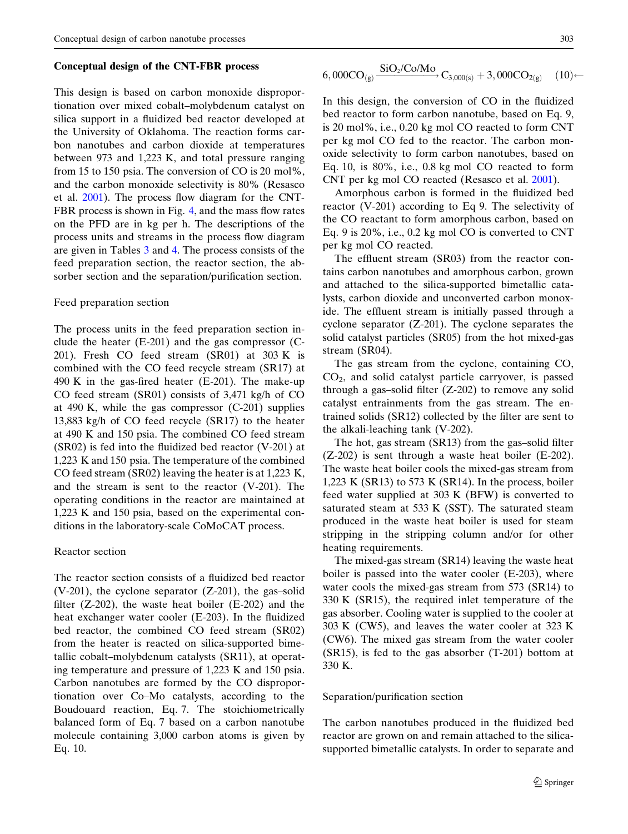#### Conceptual design of the CNT-FBR process

This design is based on carbon monoxide disproportionation over mixed cobalt–molybdenum catalyst on silica support in a fluidized bed reactor developed at the University of Oklahoma. The reaction forms carbon nanotubes and carbon dioxide at temperatures between 973 and 1,223 K, and total pressure ranging from 15 to 150 psia. The conversion of CO is 20 mol%, and the carbon monoxide selectivity is 80% (Resasco et al. [2001](#page-22-0)). The process flow diagram for the CNT-FBR process is shown in Fig. [4](#page-15-0), and the mass flow rates on the PFD are in kg per h. The descriptions of the process units and streams in the process flow diagram are given in Tables [3](#page-16-0) and [4](#page-17-0). The process consists of the feed preparation section, the reactor section, the absorber section and the separation/purification section.

#### Feed preparation section

The process units in the feed preparation section include the heater (E-201) and the gas compressor (C-201). Fresh CO feed stream (SR01) at 303 K is combined with the CO feed recycle stream (SR17) at 490 K in the gas-fired heater (E-201). The make-up CO feed stream (SR01) consists of 3,471 kg/h of CO at 490 K, while the gas compressor (C-201) supplies 13,883 kg/h of CO feed recycle (SR17) to the heater at 490 K and 150 psia. The combined CO feed stream (SR02) is fed into the fluidized bed reactor (V-201) at 1,223 K and 150 psia. The temperature of the combined CO feed stream (SR02) leaving the heater is at 1,223 K, and the stream is sent to the reactor (V-201). The operating conditions in the reactor are maintained at 1,223 K and 150 psia, based on the experimental conditions in the laboratory-scale CoMoCAT process.

# Reactor section

The reactor section consists of a fluidized bed reactor (V-201), the cyclone separator (Z-201), the gas–solid filter  $(Z-202)$ , the waste heat boiler  $(E-202)$  and the heat exchanger water cooler (E-203). In the fluidized bed reactor, the combined CO feed stream (SR02) from the heater is reacted on silica-supported bimetallic cobalt–molybdenum catalysts (SR11), at operating temperature and pressure of 1,223 K and 150 psia. Carbon nanotubes are formed by the CO disproportionation over Co–Mo catalysts, according to the Boudouard reaction, Eq. 7. The stoichiometrically balanced form of Eq. 7 based on a carbon nanotube molecule containing 3,000 carbon atoms is given by Eq. 10.

$$
6,000CO_{(g)} \xrightarrow{SiO_2/Co/Mo} C_{3,000(s)} + 3,000CO_{2(g)} \quad (10) \leftarrow
$$

In this design, the conversion of CO in the fluidized bed reactor to form carbon nanotube, based on Eq. 9, is 20 mol%, i.e., 0.20 kg mol CO reacted to form CNT per kg mol CO fed to the reactor. The carbon monoxide selectivity to form carbon nanotubes, based on Eq. 10, is 80%, i.e., 0.8 kg mol CO reacted to form CNT per kg mol CO reacted (Resasco et al. [2001\)](#page-22-0).

Amorphous carbon is formed in the fluidized bed reactor (V-201) according to Eq 9. The selectivity of the CO reactant to form amorphous carbon, based on Eq. 9 is 20%, i.e., 0.2 kg mol CO is converted to CNT per kg mol CO reacted.

The effluent stream (SR03) from the reactor contains carbon nanotubes and amorphous carbon, grown and attached to the silica-supported bimetallic catalysts, carbon dioxide and unconverted carbon monoxide. The effluent stream is initially passed through a cyclone separator (Z-201). The cyclone separates the solid catalyst particles (SR05) from the hot mixed-gas stream (SR04).

The gas stream from the cyclone, containing CO, CO2, and solid catalyst particle carryover, is passed through a gas–solid filter (Z-202) to remove any solid catalyst entrainments from the gas stream. The entrained solids (SR12) collected by the filter are sent to the alkali-leaching tank (V-202).

The hot, gas stream (SR13) from the gas–solid filter (Z-202) is sent through a waste heat boiler (E-202). The waste heat boiler cools the mixed-gas stream from 1,223 K (SR13) to 573 K (SR14). In the process, boiler feed water supplied at 303 K (BFW) is converted to saturated steam at 533 K (SST). The saturated steam produced in the waste heat boiler is used for steam stripping in the stripping column and/or for other heating requirements.

The mixed-gas stream (SR14) leaving the waste heat boiler is passed into the water cooler (E-203), where water cools the mixed-gas stream from 573 (SR14) to 330 K (SR15), the required inlet temperature of the gas absorber. Cooling water is supplied to the cooler at 303 K (CW5), and leaves the water cooler at 323 K (CW6). The mixed gas stream from the water cooler (SR15), is fed to the gas absorber (T-201) bottom at 330 K.

### Separation/purification section

The carbon nanotubes produced in the fluidized bed reactor are grown on and remain attached to the silicasupported bimetallic catalysts. In order to separate and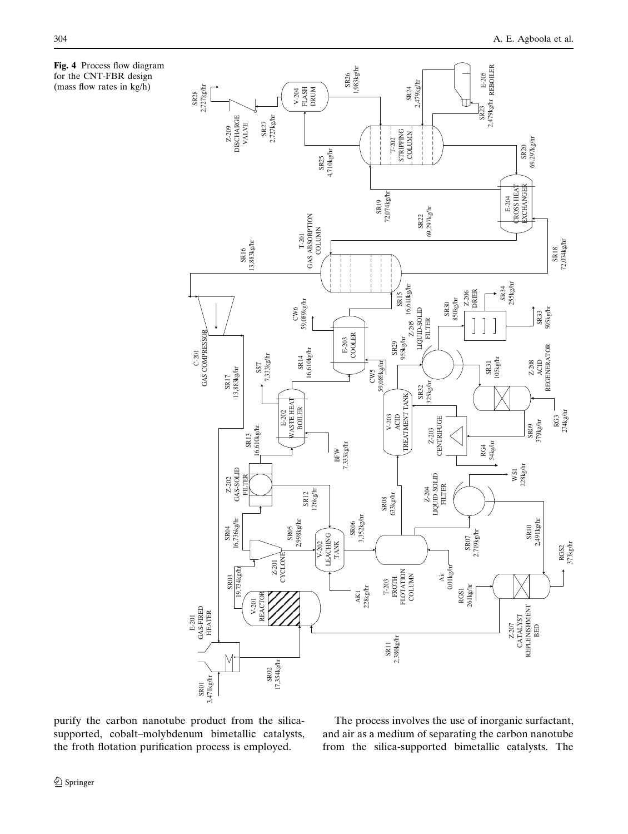<span id="page-15-0"></span>Fig. 4 Process flow diagram for the CNT-FBR design (mass flow rates in kg/h)



purify the carbon nanotube product from the silica-<br>The process involves the use of inorganic surfactant, supported, cobalt–molybdenum bimetallic catalysts, and air as a medium of separating the carbon nanotube the froth flotation purification process is employed. from the silica-supported bimetallic catalysts. The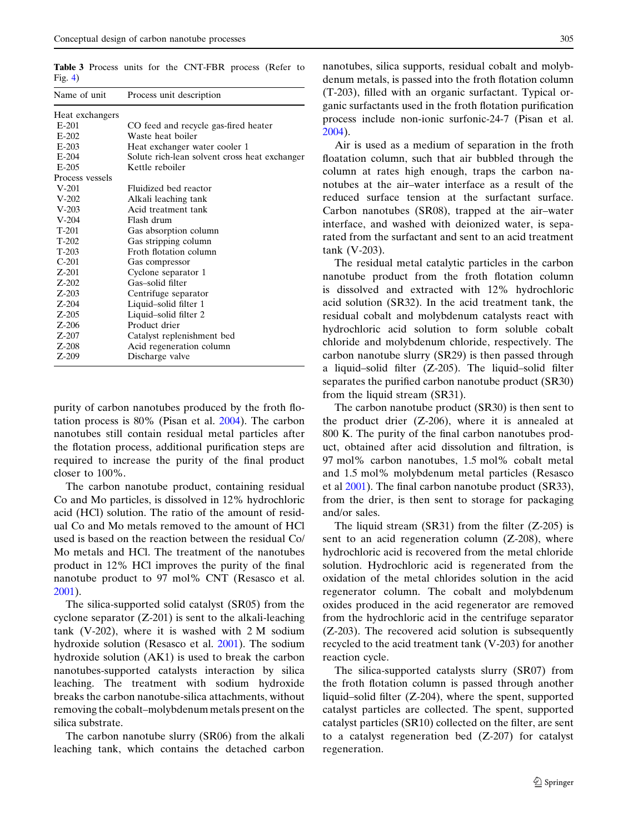<span id="page-16-0"></span>Table 3 Process units for the CNT-FBR process (Refer to  $Fig. 4)$  $Fig. 4)$  $Fig. 4)$ 

| Name of unit    | Process unit description                      |
|-----------------|-----------------------------------------------|
| Heat exchangers |                                               |
| $E-201$         | CO feed and recycle gas-fired heater          |
| $E-202$         | Waste heat boiler                             |
| $E-203$         | Heat exchanger water cooler 1                 |
| $E-204$         | Solute rich-lean solvent cross heat exchanger |
| $E-205$         | Kettle reboiler                               |
| Process vessels |                                               |
| $V-201$         | Fluidized bed reactor                         |
| $V-202$         | Alkali leaching tank                          |
| $V-203$         | Acid treatment tank                           |
| $V-204$         | Flash drum                                    |
| $T-201$         | Gas absorption column                         |
| $T-202$         | Gas stripping column                          |
| $T-203$         | Froth flotation column                        |
| $C-201$         | Gas compressor                                |
| $Z-201$         | Cyclone separator 1                           |
| $Z - 202$       | Gas-solid filter                              |
| $Z-203$         | Centrifuge separator                          |
| $Z-204$         | Liquid-solid filter 1                         |
| $Z-205$         | Liquid-solid filter 2                         |
| $Z-206$         | Product drier                                 |
| $Z-207$         | Catalyst replenishment bed                    |
| $Z-208$         | Acid regeneration column                      |
| $Z-209$         | Discharge valve                               |
|                 |                                               |

purity of carbon nanotubes produced by the froth flotation process is 80% (Pisan et al. [2004](#page-22-0)). The carbon nanotubes still contain residual metal particles after the flotation process, additional purification steps are required to increase the purity of the final product closer to 100%.

The carbon nanotube product, containing residual Co and Mo particles, is dissolved in 12% hydrochloric acid (HCl) solution. The ratio of the amount of residual Co and Mo metals removed to the amount of HCl used is based on the reaction between the residual Co/ Mo metals and HCl. The treatment of the nanotubes product in 12% HCl improves the purity of the final nanotube product to 97 mol% CNT (Resasco et al. [2001\)](#page-22-0).

The silica-supported solid catalyst (SR05) from the cyclone separator (Z-201) is sent to the alkali-leaching tank (V-202), where it is washed with 2 M sodium hydroxide solution (Resasco et al. [2001](#page-22-0)). The sodium hydroxide solution (AK1) is used to break the carbon nanotubes-supported catalysts interaction by silica leaching. The treatment with sodium hydroxide breaks the carbon nanotube-silica attachments, without removing the cobalt–molybdenum metals present on the silica substrate.

The carbon nanotube slurry (SR06) from the alkali leaching tank, which contains the detached carbon nanotubes, silica supports, residual cobalt and molybdenum metals, is passed into the froth flotation column (T-203), filled with an organic surfactant. Typical organic surfactants used in the froth flotation purification process include non-ionic surfonic-24-7 (Pisan et al. [2004](#page-22-0)).

Air is used as a medium of separation in the froth floatation column, such that air bubbled through the column at rates high enough, traps the carbon nanotubes at the air–water interface as a result of the reduced surface tension at the surfactant surface. Carbon nanotubes (SR08), trapped at the air–water interface, and washed with deionized water, is separated from the surfactant and sent to an acid treatment tank (V-203).

The residual metal catalytic particles in the carbon nanotube product from the froth flotation column is dissolved and extracted with 12% hydrochloric acid solution (SR32). In the acid treatment tank, the residual cobalt and molybdenum catalysts react with hydrochloric acid solution to form soluble cobalt chloride and molybdenum chloride, respectively. The carbon nanotube slurry (SR29) is then passed through a liquid–solid filter (Z-205). The liquid–solid filter separates the purified carbon nanotube product (SR30) from the liquid stream (SR31).

The carbon nanotube product (SR30) is then sent to the product drier (Z-206), where it is annealed at 800 K. The purity of the final carbon nanotubes product, obtained after acid dissolution and filtration, is 97 mol% carbon nanotubes, 1.5 mol% cobalt metal and 1.5 mol% molybdenum metal particles (Resasco et al [2001\)](#page-22-0). The final carbon nanotube product (SR33), from the drier, is then sent to storage for packaging and/or sales.

The liquid stream  $(SR31)$  from the filter  $(Z-205)$  is sent to an acid regeneration column (Z-208), where hydrochloric acid is recovered from the metal chloride solution. Hydrochloric acid is regenerated from the oxidation of the metal chlorides solution in the acid regenerator column. The cobalt and molybdenum oxides produced in the acid regenerator are removed from the hydrochloric acid in the centrifuge separator (Z-203). The recovered acid solution is subsequently recycled to the acid treatment tank (V-203) for another reaction cycle.

The silica-supported catalysts slurry (SR07) from the froth flotation column is passed through another liquid–solid filter (Z-204), where the spent, supported catalyst particles are collected. The spent, supported catalyst particles (SR10) collected on the filter, are sent to a catalyst regeneration bed (Z-207) for catalyst regeneration.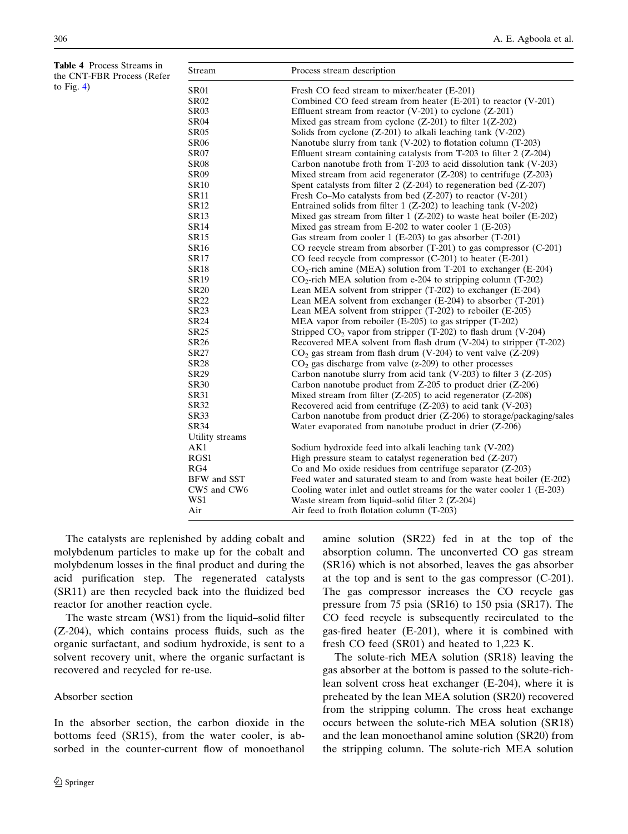<span id="page-17-0"></span>Table 4 Process Streams in the CNT-FBR Process (Refer to Fig.  $4$ )

| Stream          | Process stream description                                                 |
|-----------------|----------------------------------------------------------------------------|
| <b>SR01</b>     | Fresh CO feed stream to mixer/heater (E-201)                               |
| <b>SR02</b>     | Combined CO feed stream from heater (E-201) to reactor (V-201)             |
| <b>SR03</b>     | Effluent stream from reactor $(V-201)$ to cyclone $(Z-201)$                |
| <b>SR04</b>     | Mixed gas stream from cyclone $(Z-201)$ to filter $1(Z-202)$               |
| <b>SR05</b>     | Solids from cyclone (Z-201) to alkali leaching tank (V-202)                |
| <b>SR06</b>     | Nanotube slurry from tank (V-202) to flotation column (T-203)              |
| <b>SR07</b>     | Effluent stream containing catalysts from $T-203$ to filter 2 (Z-204)      |
| <b>SR08</b>     | Carbon nanotube froth from T-203 to acid dissolution tank (V-203)          |
| <b>SR09</b>     | Mixed stream from acid regenerator $(Z-208)$ to centrifuge $(Z-203)$       |
| <b>SR10</b>     | Spent catalysts from filter $2$ (Z-204) to regeneration bed (Z-207)        |
| <b>SR11</b>     | Fresh Co–Mo catalysts from bed $(Z-207)$ to reactor $(V-201)$              |
| <b>SR12</b>     | Entrained solids from filter $1 (Z-202)$ to leaching tank (V-202)          |
| <b>SR13</b>     | Mixed gas stream from filter $1 (Z-202)$ to waste heat boiler (E-202)      |
| <b>SR14</b>     | Mixed gas stream from E-202 to water cooler 1 (E-203)                      |
| <b>SR15</b>     | Gas stream from cooler 1 (E-203) to gas absorber (T-201)                   |
| <b>SR16</b>     | CO recycle stream from absorber $(T-201)$ to gas compressor $(C-201)$      |
| <b>SR17</b>     | CO feed recycle from compressor (C-201) to heater (E-201)                  |
| <b>SR18</b>     | $CO_2$ -rich amine (MEA) solution from T-201 to exchanger (E-204)          |
| <b>SR19</b>     | $CO2$ -rich MEA solution from e-204 to stripping column (T-202)            |
| <b>SR20</b>     | Lean MEA solvent from stripper $(T-202)$ to exchanger $(E-204)$            |
| <b>SR22</b>     | Lean MEA solvent from exchanger (E-204) to absorber (T-201)                |
| <b>SR23</b>     | Lean MEA solvent from stripper $(T-202)$ to reboiler $(E-205)$             |
| <b>SR24</b>     | MEA vapor from reboiler (E-205) to gas stripper (T-202)                    |
| <b>SR25</b>     | Stripped CO <sub>2</sub> vapor from stripper (T-202) to flash drum (V-204) |
| <b>SR26</b>     | Recovered MEA solvent from flash drum (V-204) to stripper (T-202)          |
| <b>SR27</b>     | $CO2$ gas stream from flash drum (V-204) to vent valve (Z-209)             |
| <b>SR28</b>     | $CO2$ gas discharge from valve (z-209) to other processes                  |
| SR29            | Carbon nanotube slurry from acid tank (V-203) to filter $3$ (Z-205)        |
| <b>SR30</b>     | Carbon nanotube product from $Z$ -205 to product drier $(Z$ -206)          |
| <b>SR31</b>     | Mixed stream from filter $(Z-205)$ to acid regenerator $(Z-208)$           |
| SR32            | Recovered acid from centrifuge $(Z-203)$ to acid tank $(V-203)$            |
| <b>SR33</b>     | Carbon nanotube from product drier (Z-206) to storage/packaging/sales      |
| <b>SR34</b>     | Water evaporated from nanotube product in drier (Z-206)                    |
| Utility streams |                                                                            |
| AK1             | Sodium hydroxide feed into alkali leaching tank (V-202)                    |
| RGS1            | High pressure steam to catalyst regeneration bed $(Z-207)$                 |
| RG4             | Co and Mo oxide residues from centrifuge separator $(Z-203)$               |
| BFW and SST     | Feed water and saturated steam to and from waste heat boiler (E-202)       |
| CW5 and CW6     | Cooling water inlet and outlet streams for the water cooler 1 (E-203)      |
| WS1             | Waste stream from liquid-solid filter 2 (Z-204)                            |
| Air             | Air feed to froth flotation column (T-203)                                 |

The catalysts are replenished by adding cobalt and molybdenum particles to make up for the cobalt and molybdenum losses in the final product and during the acid purification step. The regenerated catalysts (SR11) are then recycled back into the fluidized bed reactor for another reaction cycle.

The waste stream (WS1) from the liquid–solid filter (Z-204), which contains process fluids, such as the organic surfactant, and sodium hydroxide, is sent to a solvent recovery unit, where the organic surfactant is recovered and recycled for re-use.

# Absorber section

In the absorber section, the carbon dioxide in the bottoms feed (SR15), from the water cooler, is absorbed in the counter-current flow of monoethanol amine solution (SR22) fed in at the top of the absorption column. The unconverted CO gas stream (SR16) which is not absorbed, leaves the gas absorber at the top and is sent to the gas compressor (C-201). The gas compressor increases the CO recycle gas pressure from 75 psia (SR16) to 150 psia (SR17). The CO feed recycle is subsequently recirculated to the gas-fired heater (E-201), where it is combined with fresh CO feed (SR01) and heated to 1,223 K.

The solute-rich MEA solution (SR18) leaving the gas absorber at the bottom is passed to the solute-richlean solvent cross heat exchanger (E-204), where it is preheated by the lean MEA solution (SR20) recovered from the stripping column. The cross heat exchange occurs between the solute-rich MEA solution (SR18) and the lean monoethanol amine solution (SR20) from the stripping column. The solute-rich MEA solution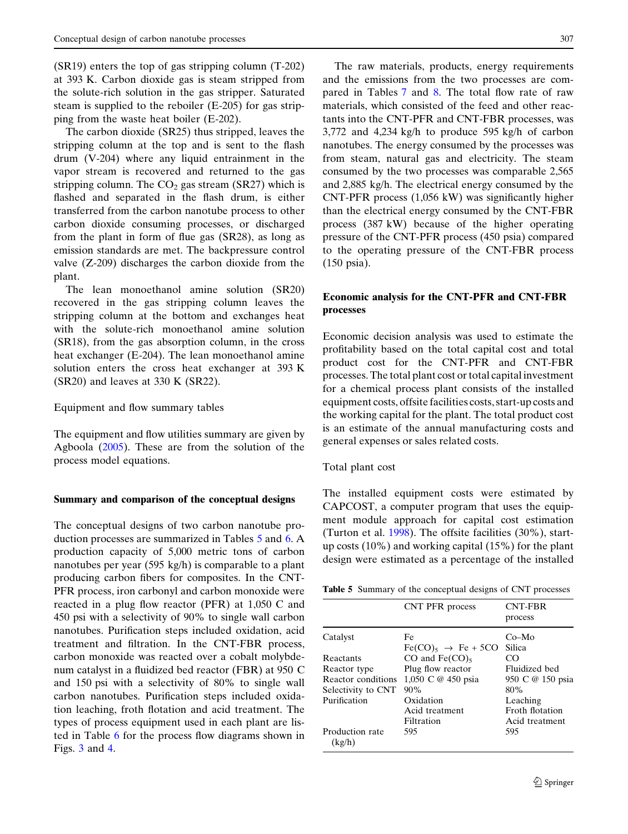$(SR19)$  enters the top of gas stripping column  $(T-202)$ at 393 K. Carbon dioxide gas is steam stripped from the solute-rich solution in the gas stripper. Saturated steam is supplied to the reboiler (E-205) for gas stripping from the waste heat boiler (E-202).

The carbon dioxide (SR25) thus stripped, leaves the stripping column at the top and is sent to the flash drum (V-204) where any liquid entrainment in the vapor stream is recovered and returned to the gas stripping column. The  $CO<sub>2</sub>$  gas stream (SR27) which is flashed and separated in the flash drum, is either transferred from the carbon nanotube process to other carbon dioxide consuming processes, or discharged from the plant in form of flue gas (SR28), as long as emission standards are met. The backpressure control valve (Z-209) discharges the carbon dioxide from the plant.

The lean monoethanol amine solution (SR20) recovered in the gas stripping column leaves the stripping column at the bottom and exchanges heat with the solute-rich monoethanol amine solution (SR18), from the gas absorption column, in the cross heat exchanger (E-204). The lean monoethanol amine solution enters the cross heat exchanger at 393 K (SR20) and leaves at 330 K (SR22).

# Equipment and flow summary tables

The equipment and flow utilities summary are given by Agboola [\(2005](#page-21-0)). These are from the solution of the process model equations.

# Summary and comparison of the conceptual designs

 reacted in a plug flow reactor (PFR) at 1,050 C and The conceptual designs of two carbon nanotube production processes are summarized in Tables 5 and [6.](#page-19-0)A production capacity of 5,000 metric tons of carbon nanotubes per year (595 kg/h) is comparable to a plant producing carbon fibers for composites. In the CNT-PFR process, iron carbonyl and carbon monoxide were 450 psi with a selectivity of 90% to single wall carbon nanotubes. Purification steps included oxidation, acid treatment and filtration. In the CNT-FBR process, carbon monoxide was reacted over a cobalt molybdenum catalyst in a fluidized bed reactor (FBR) at 950 C and 150 psi with a selectivity of 80% to single wall carbon nanotubes. Purification steps included oxidation leaching, froth flotation and acid treatment. The types of process equipment used in each plant are listed in Table [6](#page-19-0) for the process flow diagrams shown in Figs. [3](#page-10-0) and [4](#page-15-0).

The raw materials, products, energy requirements and the emissions from the two processes are compared in Tables [7](#page-19-0) and [8](#page-19-0). The total flow rate of raw materials, which consisted of the feed and other reactants into the CNT-PFR and CNT-FBR processes, was 3,772 and 4,234 kg/h to produce 595 kg/h of carbon nanotubes. The energy consumed by the processes was from steam, natural gas and electricity. The steam consumed by the two processes was comparable 2,565 and 2,885 kg/h. The electrical energy consumed by the CNT-PFR process (1,056 kW) was significantly higher than the electrical energy consumed by the CNT-FBR process (387 kW) because of the higher operating pressure of the CNT-PFR process (450 psia) compared to the operating pressure of the CNT-FBR process (150 psia).

# Economic analysis for the CNT-PFR and CNT-FBR processes

Economic decision analysis was used to estimate the profitability based on the total capital cost and total product cost for the CNT-PFR and CNT-FBR processes. The total plant cost or total capital investment for a chemical process plant consists of the installed equipment costs, offsite facilities costs, start-up costs and the working capital for the plant. The total product cost is an estimate of the annual manufacturing costs and general expenses or sales related costs.

Total plant cost

The installed equipment costs were estimated by CAPCOST, a computer program that uses the equipment module approach for capital cost estimation (Turton et al. [1998\)](#page-22-0). The offsite facilities (30%), startup costs (10%) and working capital (15%) for the plant design were estimated as a percentage of the installed

Table 5 Summary of the conceptual designs of CNT processes

|                           | CNT PFR process                         | <b>CNT-FBR</b><br>process |
|---------------------------|-----------------------------------------|---------------------------|
| Catalyst                  | Fe<br>$Fe(CO)_{5} \rightarrow Fe + 5CO$ | $Co-Mo$<br><b>Silica</b>  |
| Reactants                 | CO and $Fe(CO)_5$                       | CO                        |
| Reactor type              | Plug flow reactor                       | Fluidized bed             |
| Reactor conditions        | 1,050 C @ 450 psia                      | 950 C @ 150 psia          |
| Selectivity to CNT        | 90%                                     | 80%                       |
| Purification              | Oxidation                               | Leaching                  |
|                           | Acid treatment                          | Froth flotation           |
|                           | Filtration                              | Acid treatment            |
| Production rate<br>(kg/h) | 595                                     | 595                       |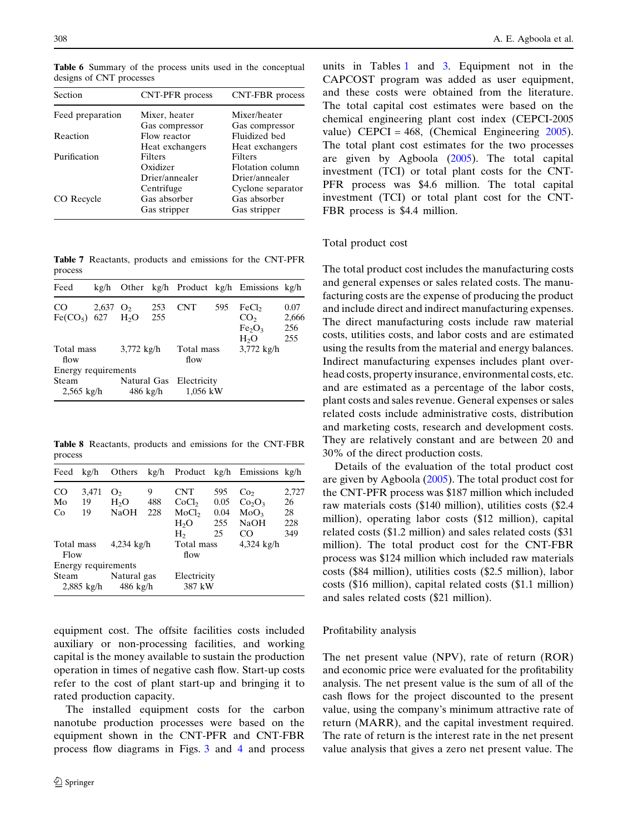| Section          | CNT-PFR process | CNT-FBR process   |
|------------------|-----------------|-------------------|
| Feed preparation | Mixer, heater   | Mixer/heater      |
|                  | Gas compressor  | Gas compressor    |
| Reaction         | Flow reactor    | Fluidized bed     |
|                  | Heat exchangers | Heat exchangers   |
| Purification     | Filters         | <b>Filters</b>    |
|                  | Oxidizer        | Flotation column  |
|                  | Drier/annealer  | Drier/annealer    |
|                  | Centrifuge      | Cyclone separator |
| CO Recycle       | Gas absorber    | Gas absorber      |
|                  | Gas stripper    | Gas stripper      |

Table 7 Reactants, products and emissions for the CNT-PFR process The total product cost includes the manufacturing costs

| Feed                                  | kg/h         |                           |            |                         |     | Other kg/h Product kg/h Emissions kg/h                                                     |                             |
|---------------------------------------|--------------|---------------------------|------------|-------------------------|-----|--------------------------------------------------------------------------------------------|-----------------------------|
| <sub>CO</sub><br>Fe(CO <sub>5</sub> ) | 2,637<br>627 | O <sub>2</sub><br>H,O     | 253<br>255 | <b>CNT</b>              | 595 | FeCl <sub>2</sub><br>CO <sub>2</sub><br>Fe <sub>2</sub> O <sub>3</sub><br>H <sub>2</sub> O | 0.07<br>2,666<br>256<br>255 |
| Total mass<br>flow                    |              | $3,772 \text{ kg/h}$      |            | Total mass<br>flow      |     | $3,772 \text{ kg/h}$                                                                       |                             |
| Energy requirements                   |              |                           |            |                         |     |                                                                                            |                             |
| Steam<br>$2,565$ kg/h                 |              | Natural Gas<br>$486$ kg/h |            | Electricity<br>1,056 kW |     |                                                                                            |                             |

process 30% of the direct production costs.

| Feed               | kg/h         | Others                            |     |                       |      | kg/h Product kg/h Emissions kg/h |       |
|--------------------|--------------|-----------------------------------|-----|-----------------------|------|----------------------------------|-------|
| CO <sub>.</sub>    | 3,471        | O <sub>2</sub>                    | 9   | <b>CNT</b>            | 595  | Co <sub>2</sub>                  | 2,727 |
| Mo                 | 19           | H <sub>2</sub> O                  | 488 | CoCl <sub>2</sub>     | 0.05 | Co <sub>2</sub> O <sub>3</sub>   | 26    |
| Co                 | 19           | <b>NaOH</b>                       | 228 | MoCl <sub>2</sub>     | 0.04 | MoO <sub>3</sub>                 | 28    |
|                    |              |                                   |     | H <sub>2</sub> O      | 255  | NaOH                             | 228   |
|                    |              |                                   |     | H <sub>2</sub>        | 25   | CO                               | 349   |
| Total mass<br>Flow |              | $4,234$ kg/h                      |     | Total mass<br>flow    |      | 4,324 kg/h                       |       |
|                    |              | Energy requirements               |     |                       |      |                                  |       |
| Steam              | $2,885$ kg/h | Natural gas<br>$486 \text{ kg/h}$ |     | Electricity<br>387 kW |      |                                  |       |

equipment cost. The offsite facilities costs included Profitability analysis auxiliary or non-processing facilities, and working capital is the money available to sustain the production The net present value (NPV), rate of return (ROR) operation in times of negative cash flow. Start-up costs and economic price were evaluated for the profitability refer to the cost of plant start-up and bringing it to analysis. The net present value is the sum of all of the rated production capacity. cash flows for the project discounted to the present

<span id="page-19-0"></span>Table 6 Summary of the process units used in the conceptual units in Tables [1](#page-11-0) and [3](#page-16-0). Equipment not in the designs of CNT processes CAPCOST program was added as user equipment, and these costs were obtained from the literature. The total capital cost estimates were based on the chemical engineering plant cost index (CEPCI-2005 value) CEPCI = 468, (Chemical Engineering  $2005$ ). The total plant cost estimates for the two processes are given by Agboola  $(2005)$  $(2005)$ . The total capital investment (TCI) or total plant costs for the CNT-PFR process was \$4.6 million. The total capital investment (TCI) or total plant cost for the CNT-FBR process is \$4.4 million.

# Total product cost

and general expenses or sales related costs. The manufacturing costs are the expense of producing the product and include direct and indirect manufacturing expenses. The direct manufacturing costs include raw material costs, utilities costs, and labor costs and are estimated using the results from the material and energy balances. Indirect manufacturing expenses includes plant overhead costs, property insurance, environmental costs, etc. and are estimated as a percentage of the labor costs, plant costs and sales revenue. General expenses or sales related costs include administrative costs, distribution and marketing costs, research and development costs. Table 8 Reactants, products and emissions for the CNT-FBR They are relatively constant and are between 20 and

> Details of the evaluation of the total product cost are given by Agboola [\(2005](#page-21-0)). The total product cost for the CNT-PFR process was \$187 million which included raw materials costs (\$140 million), utilities costs (\$2.4 million), operating labor costs (\$12 million), capital related costs (\$1.2 million) and sales related costs (\$31) million). The total product cost for the CNT-FBR process was \$124 million which included raw materials costs (\$84 million), utilities costs (\$2.5 million), labor costs (\$16 million), capital related costs (\$1.1 million) and sales related costs (\$21 million).

The installed equipment costs for the carbon value, using the company's minimum attractive rate of nanotube production processes were based on the return (MARR), and the capital investment required. equipment shown in the CNT-PFR and CNT-FBR The rate of return is the interest rate in the net present process flow diagrams in Figs. [3](#page-10-0) and [4](#page-15-0) and process value analysis that gives a zero net present value. The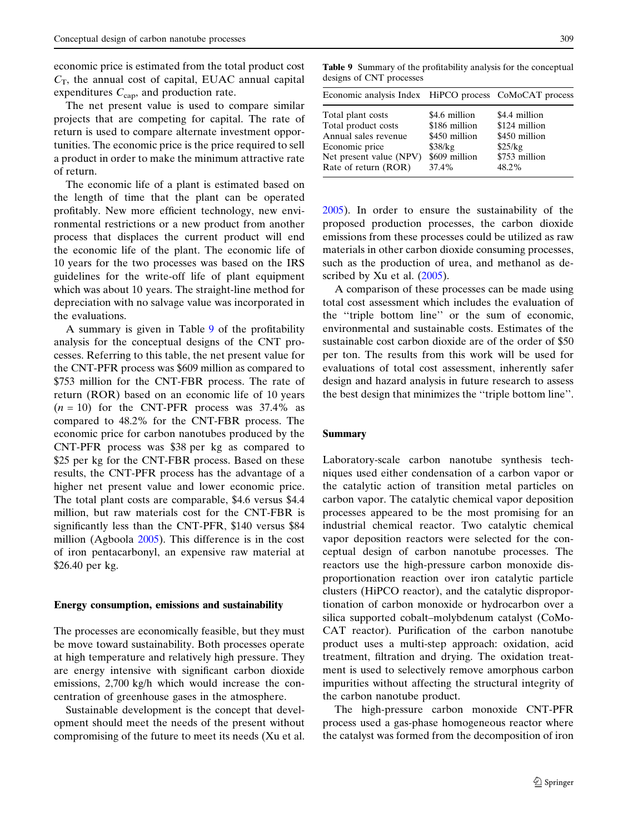economic price is estimated from the total product cost Table 9 Summary of the profitability analysis for the conceptual  $C_T$ , the annual cost of capital, EUAC annual capital designs of CNT processes expenditures  $C_{\text{cap}}$ , and production rate.

The net present value is used to compare similar projects that are competing for capital. The rate of return is used to compare alternate investment opportunities. The economic price is the price required to sell a product in order to make the minimum attractive rate of return. Rate of return (ROR) 37.4% 48.2%

The economic life of a plant is estimated based on the length of time that the plant can be operated profitably. New more efficient technology, new envi- [2005](#page-22-0)). In order to ensure the sustainability of the ronmental restrictions or a new product from another proposed production processes, the carbon dioxide process that displaces the current product will end emissions from these processes could be utilized as raw the economic life of the plant. The economic life of materials in other carbon dioxide consuming processes, 10 years for the two processes was based on the IRS such as the production of urea, and methanol as deguidelines for the write-off life of plant equipment scribed by Xu et al. [\(2005\)](#page-22-0). which was about 10 years. The straight-line method for A comparison of these processes can be made using depreciation with no salvage value was incorporated in total cost assessment which includes the evaluation of the evaluations. the ''triple bottom line'' or the sum of economic,

analysis for the conceptual designs of the CNT pro- sustainable cost carbon dioxide are of the order of \$50 cesses. Referring to this table, the net present value for per ton. The results from this work will be used for the CNT-PFR process was \$609 million as compared to evaluations of total cost assessment, inherently safer \$753 million for the CNT-FBR process. The rate of design and hazard analysis in future research to assess return (ROR) based on an economic life of 10 years the best design that minimizes the "triple bottom line".  $(n = 10)$  for the CNT-PFR process was 37.4% as compared to 48.2% for the CNT-FBR process. The economic price for carbon nanotubes produced by the Summary CNT-PFR process was \$38 per kg as compared to \$25 per kg for the CNT-FBR process. Based on these Laboratory-scale carbon nanotube synthesis techresults, the CNT-PFR process has the advantage of a niques used either condensation of a carbon vapor or higher net present value and lower economic price. the catalytic action of transition metal particles on The total plant costs are comparable, \$4.6 versus \$4.4 carbon vapor. The catalytic chemical vapor deposition million, but raw materials cost for the CNT-FBR is processes appeared to be the most promising for an significantly less than the CNT-PFR, \$140 versus \$84 industrial chemical reactor. Two catalytic chemical million (Agboola [2005\)](#page-21-0). This difference is in the cost vapor deposition reactors were selected for the conof iron pentacarbonyl, an expensive raw material at ceptual design of carbon nanotube processes. The \$26.40 per kg.

be move toward sustainability. Both processes operate product uses a multi-step approach: oxidation, acid at high temperature and relatively high pressure. They treatment, filtration and drying. The oxidation treatare energy intensive with significant carbon dioxide ment is used to selectively remove amorphous carbon emissions, 2,700 kg/h which would increase the con- impurities without affecting the structural integrity of centration of greenhouse gases in the atmosphere. the carbon nanotube product.

opment should meet the needs of the present without process used a gas-phase homogeneous reactor where compromising of the future to meet its needs (Xu et al. the catalyst was formed from the decomposition of iron

| Economic analysis Index HiPCO process CoMoCAT process                                                                                 |                                                                                      |                                                                                      |
|---------------------------------------------------------------------------------------------------------------------------------------|--------------------------------------------------------------------------------------|--------------------------------------------------------------------------------------|
| Total plant costs<br>Total product costs<br>Annual sales revenue<br>Economic price<br>Net present value (NPV)<br>Rate of return (ROR) | \$4.6 million<br>\$186 million<br>\$450 million<br>\$38/kg<br>\$609 million<br>37.4% | \$4.4 million<br>\$124 million<br>\$450 million<br>\$25/kg<br>\$753 million<br>48.2% |
|                                                                                                                                       |                                                                                      |                                                                                      |

A summary is given in Table 9 of the profitability environmental and sustainable costs. Estimates of the

proportionation reaction over iron catalytic particle clusters (HiPCO reactor), and the catalytic dispropor-Energy consumption, emissions and sustainability tionation of carbon monoxide or hydrocarbon over a silica supported cobalt–molybdenum catalyst (CoMo-The processes are economically feasible, but they must CAT reactor). Purification of the carbon nanotube

Sustainable development is the concept that devel- The high-pressure carbon monoxide CNT-PFR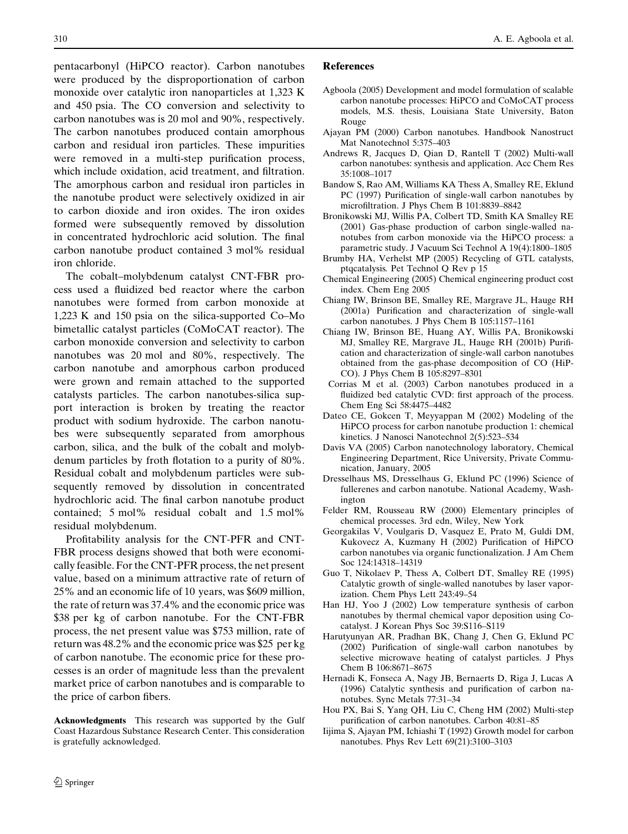<span id="page-21-0"></span>pentacarbonyl (HiPCO reactor). Carbon nanotubes were produced by the disproportionation of carbon monoxide over catalytic iron nanoparticles at 1,323 K and 450 psia. The CO conversion and selectivity to carbon nanotubes was is 20 mol and 90%, respectively. The carbon nanotubes produced contain amorphous carbon and residual iron particles. These impurities were removed in a multi-step purification process, which include oxidation, acid treatment, and filtration. The amorphous carbon and residual iron particles in the nanotube product were selectively oxidized in air to carbon dioxide and iron oxides. The iron oxides formed were subsequently removed by dissolution in concentrated hydrochloric acid solution. The final carbon nanotube product contained 3 mol% residual iron chloride.

The cobalt–molybdenum catalyst CNT-FBR process used a fluidized bed reactor where the carbon nanotubes were formed from carbon monoxide at 1,223 K and 150 psia on the silica-supported Co–Mo bimetallic catalyst particles (CoMoCAT reactor). The carbon monoxide conversion and selectivity to carbon nanotubes was 20 mol and 80%, respectively. The carbon nanotube and amorphous carbon produced were grown and remain attached to the supported catalysts particles. The carbon nanotubes-silica support interaction is broken by treating the reactor product with sodium hydroxide. The carbon nanotubes were subsequently separated from amorphous carbon, silica, and the bulk of the cobalt and molybdenum particles by froth flotation to a purity of 80%. Residual cobalt and molybdenum particles were subsequently removed by dissolution in concentrated hydrochloric acid. The final carbon nanotube product contained; 5 mol% residual cobalt and 1.5 mol% residual molybdenum.

Profitability analysis for the CNT-PFR and CNT-FBR process designs showed that both were economically feasible. For the CNT-PFR process, the net present value, based on a minimum attractive rate of return of 25% and an economic life of 10 years, was \$609 million, the rate of return was 37.4% and the economic price was \$38 per kg of carbon nanotube. For the CNT-FBR process, the net present value was \$753 million, rate of return was 48.2% and the economic price was \$25 per kg of carbon nanotube. The economic price for these processes is an order of magnitude less than the prevalent market price of carbon nanotubes and is comparable to the price of carbon fibers.

Acknowledgments This research was supported by the Gulf Coast Hazardous Substance Research Center. This consideration is gratefully acknowledged.

#### References

- Agboola (2005) Development and model formulation of scalable carbon nanotube processes: HiPCO and CoMoCAT process models, M.S. thesis, Louisiana State University, Baton Rouge
- Ajayan PM (2000) Carbon nanotubes. Handbook Nanostruct Mat Nanotechnol 5:375–403
- Andrews R, Jacques D, Qian D, Rantell T (2002) Multi-wall carbon nanotubes: synthesis and application. Acc Chem Res 35:1008–1017
- Bandow S, Rao AM, Williams KA Thess A, Smalley RE, Eklund PC (1997) Purification of single-wall carbon nanotubes by microfiltration. J Phys Chem B 101:8839–8842
- Bronikowski MJ, Willis PA, Colbert TD, Smith KA Smalley RE (2001) Gas-phase production of carbon single-walled nanotubes from carbon monoxide via the HiPCO process: a parametric study. J Vacuum Sci Technol A 19(4):1800–1805
- Brumby HA, Verhelst MP (2005) Recycling of GTL catalysts, ptqcatalysis. Pet Technol Q Rev p 15
- Chemical Engineering (2005) Chemical engineering product cost index. Chem Eng 2005
- Chiang IW, Brinson BE, Smalley RE, Margrave JL, Hauge RH (2001a) Purification and characterization of single-wall carbon nanotubes. J Phys Chem B 105:1157–1161
- Chiang IW, Brinson BE, Huang AY, Willis PA, Bronikowski MJ, Smalley RE, Margrave JL, Hauge RH (2001b) Purification and characterization of single-wall carbon nanotubes obtained from the gas-phase decomposition of CO (HiP-CO). J Phys Chem B 105:8297–8301
- Corrias M et al. (2003) Carbon nanotubes produced in a fluidized bed catalytic CVD: first approach of the process. Chem Eng Sci 58:4475–4482
- Dateo CE, Gokcen T, Meyyappan M (2002) Modeling of the HiPCO process for carbon nanotube production 1: chemical kinetics. J Nanosci Nanotechnol 2(5):523–534
- Davis VA (2005) Carbon nanotechnology laboratory, Chemical Engineering Department, Rice University, Private Communication, January, 2005
- Dresselhaus MS, Dresselhaus G, Eklund PC (1996) Science of fullerenes and carbon nanotube. National Academy, Washington
- Felder RM, Rousseau RW (2000) Elementary principles of chemical processes. 3rd edn, Wiley, New York
- Georgakilas V, Voulgaris D, Vasquez E, Prato M, Guldi DM, Kukovecz A, Kuzmany H (2002) Purification of HiPCO carbon nanotubes via organic functionalization. J Am Chem Soc 124:14318–14319
- Guo T, Nikolaev P, Thess A, Colbert DT, Smalley RE (1995) Catalytic growth of single-walled nanotubes by laser vaporization. Chem Phys Lett 243:49–54
- Han HJ, Yoo J (2002) Low temperature synthesis of carbon nanotubes by thermal chemical vapor deposition using Cocatalyst. J Korean Phys Soc 39:S116–S119
- Harutyunyan AR, Pradhan BK, Chang J, Chen G, Eklund PC (2002) Purification of single-wall carbon nanotubes by selective microwave heating of catalyst particles. J Phys Chem B 106:8671–8675
- Hernadi K, Fonseca A, Nagy JB, Bernaerts D, Riga J, Lucas A (1996) Catalytic synthesis and purification of carbon nanotubes. Sync Metals 77:31–34
- Hou PX, Bai S, Yang QH, Liu C, Cheng HM (2002) Multi-step purification of carbon nanotubes. Carbon 40:81–85
- Iijima S, Ajayan PM, Ichiashi T (1992) Growth model for carbon nanotubes. Phys Rev Lett 69(21):3100–3103